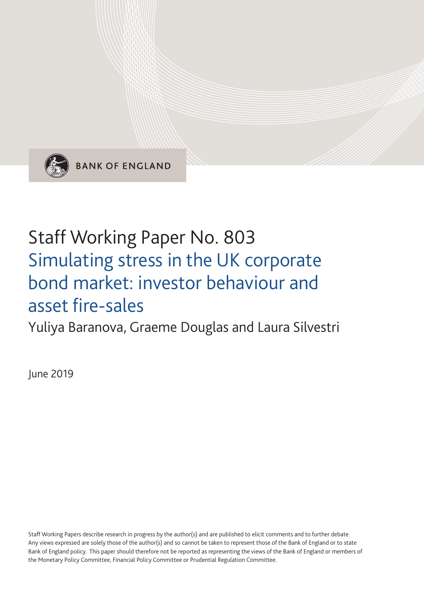

**BANK OF ENGLAND** 

# Staff Working Paper No. 803 Simulating stress in the UK corporate bond market: investor behaviour and asset fire-sales

Yuliya Baranova, Graeme Douglas and Laura Silvestri

June 2019

Staff Working Papers describe research in progress by the author(s) and are published to elicit comments and to further debate. Any views expressed are solely those of the author(s) and so cannot be taken to represent those of the Bank of England or to state Bank of England policy. This paper should therefore not be reported as representing the views of the Bank of England or members of the Monetary Policy Committee, Financial Policy Committee or Prudential Regulation Committee.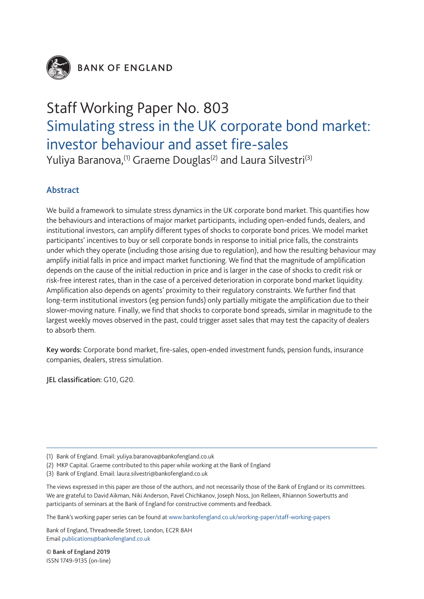

**BANK OF ENGLAND** 

# Staff Working Paper No. 803 Simulating stress in the UK corporate bond market: investor behaviour and asset fire-sales

Yuliya Baranova,<sup>(1)</sup> Graeme Douglas<sup>(2)</sup> and Laura Silvestri<sup>(3)</sup>

# Abstract

We build a framework to simulate stress dynamics in the UK corporate bond market. This quantifies how the behaviours and interactions of major market participants, including open-ended funds, dealers, and institutional investors, can amplify different types of shocks to corporate bond prices. We model market participants' incentives to buy or sell corporate bonds in response to initial price falls, the constraints under which they operate (including those arising due to regulation), and how the resulting behaviour may amplify initial falls in price and impact market functioning. We find that the magnitude of amplification depends on the cause of the initial reduction in price and is larger in the case of shocks to credit risk or risk-free interest rates, than in the case of a perceived deterioration in corporate bond market liquidity. Amplification also depends on agents' proximity to their regulatory constraints. We further find that long-term institutional investors (eg pension funds) only partially mitigate the amplification due to their slower-moving nature. Finally, we find that shocks to corporate bond spreads, similar in magnitude to the largest weekly moves observed in the past, could trigger asset sales that may test the capacity of dealers to absorb them.

Key words: Corporate bond market, fire-sales, open-ended investment funds, pension funds, insurance companies, dealers, stress simulation.

JEL classification: G10, G20.

The Bank's working paper series can be found at www.bankofengland.co.uk/working-paper/staff-working-papers

Bank of England, Threadneedle Street, London, EC2R 8AH Email publications@bankofengland.co.uk

© Bank of England 2019 ISSN 1749-9135 (on-line)

<sup>(1)</sup> Bank of England. Email: yuliya.baranova@bankofengland.co.uk

<sup>(2)</sup> MKP Capital. Graeme contributed to this paper while working at the Bank of England

<sup>(3)</sup> Bank of England. Email: laura.silvestri@bankofengland.co.uk

The views expressed in this paper are those of the authors, and not necessarily those of the Bank of England or its committees. We are grateful to David Aikman, Niki Anderson, Pavel Chichkanov, Joseph Noss, Jon Relleen, Rhiannon Sowerbutts and participants of seminars at the Bank of England for constructive comments and feedback.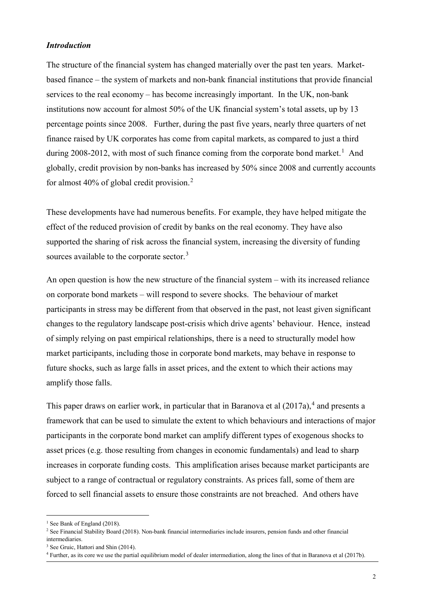# *Introduction*

The structure of the financial system has changed materially over the past ten years. Marketbased finance – the system of markets and non-bank financial institutions that provide financial services to the real economy – has become increasingly important. In the UK, non-bank institutions now account for almost 50% of the UK financial system's total assets, up by 13 percentage points since 2008. Further, during the past five years, nearly three quarters of net finance raised by UK corporates has come from capital markets, as compared to just a third during 2008-20[1](#page-2-0)2, with most of such finance coming from the corporate bond market.<sup>1</sup> And globally, credit provision by non-banks has increased by 50% since 2008 and currently accounts for almost 40% of global credit provision.<sup>[2](#page-2-1)</sup>

These developments have had numerous benefits. For example, they have helped mitigate the effect of the reduced provision of credit by banks on the real economy. They have also supported the sharing of risk across the financial system, increasing the diversity of funding sources available to the corporate sector.<sup>[3](#page-2-2)</sup>

An open question is how the new structure of the financial system – with its increased reliance on corporate bond markets – will respond to severe shocks. The behaviour of market participants in stress may be different from that observed in the past, not least given significant changes to the regulatory landscape post-crisis which drive agents' behaviour. Hence, instead of simply relying on past empirical relationships, there is a need to structurally model how market participants, including those in corporate bond markets, may behave in response to future shocks, such as large falls in asset prices, and the extent to which their actions may amplify those falls.

This paper draws on earlier work, in particular that in Baranova et al  $(2017a)$ ,<sup>[4](#page-2-3)</sup> and presents a framework that can be used to simulate the extent to which behaviours and interactions of major participants in the corporate bond market can amplify different types of exogenous shocks to asset prices (e.g. those resulting from changes in economic fundamentals) and lead to sharp increases in corporate funding costs. This amplification arises because market participants are subject to a range of contractual or regulatory constraints. As prices fall, some of them are forced to sell financial assets to ensure those constraints are not breached. And others have

<span id="page-2-0"></span><sup>&</sup>lt;sup>1</sup> See Bank of England (2018).

<span id="page-2-1"></span><sup>2</sup> See Financial Stability Board (2018). Non-bank financial intermediaries include insurers, pension funds and other financial intermediaries.

<span id="page-2-2"></span><sup>&</sup>lt;sup>3</sup> See Gruic, Hattori and Shin (2014).

<span id="page-2-3"></span><sup>4</sup> Further, as its core we use the partial equilibrium model of dealer intermediation, along the lines of that in Baranova et al (2017b).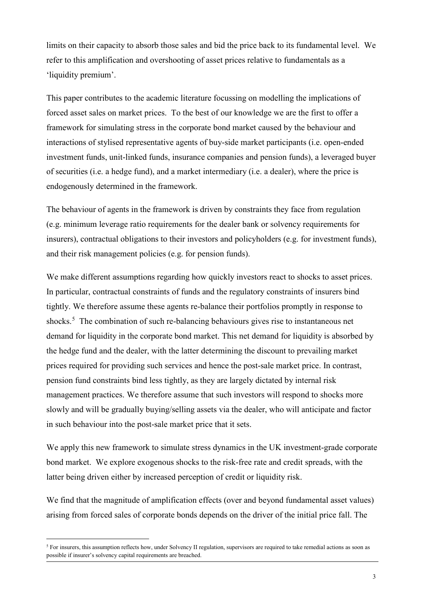limits on their capacity to absorb those sales and bid the price back to its fundamental level. We refer to this amplification and overshooting of asset prices relative to fundamentals as a 'liquidity premium'.

This paper contributes to the academic literature focussing on modelling the implications of forced asset sales on market prices. To the best of our knowledge we are the first to offer a framework for simulating stress in the corporate bond market caused by the behaviour and interactions of stylised representative agents of buy-side market participants (i.e. open-ended investment funds, unit-linked funds, insurance companies and pension funds), a leveraged buyer of securities (i.e. a hedge fund), and a market intermediary (i.e. a dealer), where the price is endogenously determined in the framework.

The behaviour of agents in the framework is driven by constraints they face from regulation (e.g. minimum leverage ratio requirements for the dealer bank or solvency requirements for insurers), contractual obligations to their investors and policyholders (e.g. for investment funds), and their risk management policies (e.g. for pension funds).

We make different assumptions regarding how quickly investors react to shocks to asset prices. In particular, contractual constraints of funds and the regulatory constraints of insurers bind tightly. We therefore assume these agents re-balance their portfolios promptly in response to shocks. [5](#page-3-0) The combination of such re-balancing behaviours gives rise to instantaneous net demand for liquidity in the corporate bond market. This net demand for liquidity is absorbed by the hedge fund and the dealer, with the latter determining the discount to prevailing market prices required for providing such services and hence the post-sale market price. In contrast, pension fund constraints bind less tightly, as they are largely dictated by internal risk management practices. We therefore assume that such investors will respond to shocks more slowly and will be gradually buying/selling assets via the dealer, who will anticipate and factor in such behaviour into the post-sale market price that it sets.

We apply this new framework to simulate stress dynamics in the UK investment-grade corporate bond market. We explore exogenous shocks to the risk-free rate and credit spreads, with the latter being driven either by increased perception of credit or liquidity risk.

We find that the magnitude of amplification effects (over and beyond fundamental asset values) arising from forced sales of corporate bonds depends on the driver of the initial price fall. The

<span id="page-3-0"></span><sup>&</sup>lt;sup>5</sup> For insurers, this assumption reflects how, under Solvency II regulation, supervisors are required to take remedial actions as soon as possible if insurer's solvency capital requirements are breached.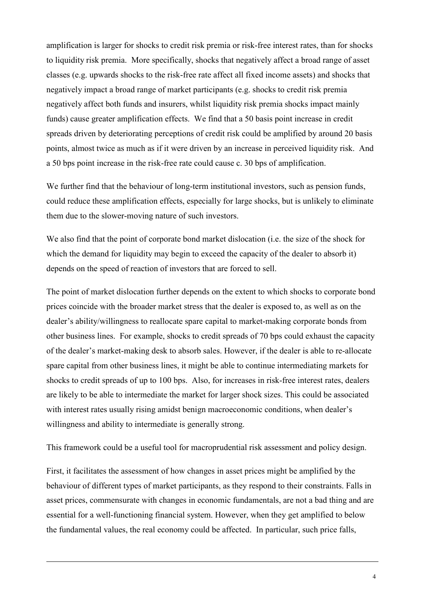amplification is larger for shocks to credit risk premia or risk-free interest rates, than for shocks to liquidity risk premia. More specifically, shocks that negatively affect a broad range of asset classes (e.g. upwards shocks to the risk-free rate affect all fixed income assets) and shocks that negatively impact a broad range of market participants (e.g. shocks to credit risk premia negatively affect both funds and insurers, whilst liquidity risk premia shocks impact mainly funds) cause greater amplification effects. We find that a 50 basis point increase in credit spreads driven by deteriorating perceptions of credit risk could be amplified by around 20 basis points, almost twice as much as if it were driven by an increase in perceived liquidity risk. And a 50 bps point increase in the risk-free rate could cause c. 30 bps of amplification.

We further find that the behaviour of long-term institutional investors, such as pension funds, could reduce these amplification effects, especially for large shocks, but is unlikely to eliminate them due to the slower-moving nature of such investors.

We also find that the point of corporate bond market dislocation (i.e. the size of the shock for which the demand for liquidity may begin to exceed the capacity of the dealer to absorb it) depends on the speed of reaction of investors that are forced to sell.

The point of market dislocation further depends on the extent to which shocks to corporate bond prices coincide with the broader market stress that the dealer is exposed to, as well as on the dealer's ability/willingness to reallocate spare capital to market-making corporate bonds from other business lines. For example, shocks to credit spreads of 70 bps could exhaust the capacity of the dealer's market-making desk to absorb sales. However, if the dealer is able to re-allocate spare capital from other business lines, it might be able to continue intermediating markets for shocks to credit spreads of up to 100 bps. Also, for increases in risk-free interest rates, dealers are likely to be able to intermediate the market for larger shock sizes. This could be associated with interest rates usually rising amidst benign macroeconomic conditions, when dealer's willingness and ability to intermediate is generally strong.

This framework could be a useful tool for macroprudential risk assessment and policy design.

First, it facilitates the assessment of how changes in asset prices might be amplified by the behaviour of different types of market participants, as they respond to their constraints. Falls in asset prices, commensurate with changes in economic fundamentals, are not a bad thing and are essential for a well-functioning financial system. However, when they get amplified to below the fundamental values, the real economy could be affected. In particular, such price falls,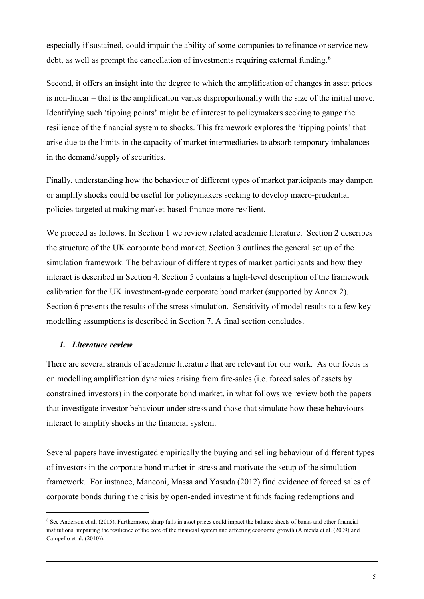especially if sustained, could impair the ability of some companies to refinance or service new debt, as well as prompt the cancellation of investments requiring external funding.<sup>[6](#page-5-0)</sup>

Second, it offers an insight into the degree to which the amplification of changes in asset prices is non-linear – that is the amplification varies disproportionally with the size of the initial move. Identifying such 'tipping points' might be of interest to policymakers seeking to gauge the resilience of the financial system to shocks. This framework explores the 'tipping points' that arise due to the limits in the capacity of market intermediaries to absorb temporary imbalances in the demand/supply of securities.

Finally, understanding how the behaviour of different types of market participants may dampen or amplify shocks could be useful for policymakers seeking to develop macro-prudential policies targeted at making market-based finance more resilient.

We proceed as follows. In Section 1 we review related academic literature. Section 2 describes the structure of the UK corporate bond market. Section 3 outlines the general set up of the simulation framework. The behaviour of different types of market participants and how they interact is described in Section 4. Section 5 contains a high-level description of the framework calibration for the UK investment-grade corporate bond market (supported by Annex 2). Section 6 presents the results of the stress simulation. Sensitivity of model results to a few key modelling assumptions is described in Section 7. A final section concludes.

# *1. Literature review*

There are several strands of academic literature that are relevant for our work. As our focus is on modelling amplification dynamics arising from fire-sales (i.e. forced sales of assets by constrained investors) in the corporate bond market, in what follows we review both the papers that investigate investor behaviour under stress and those that simulate how these behaviours interact to amplify shocks in the financial system.

Several papers have investigated empirically the buying and selling behaviour of different types of investors in the corporate bond market in stress and motivate the setup of the simulation framework. For instance, Manconi, Massa and Yasuda (2012) find evidence of forced sales of corporate bonds during the crisis by open-ended investment funds facing redemptions and

<span id="page-5-0"></span> <sup>6</sup> See Anderson et al. (2015). Furthermore, sharp falls in asset prices could impact the balance sheets of banks and other financial institutions, impairing the resilience of the core of the financial system and affecting economic growth (Almeida et al. (2009) and Campello et al. (2010)).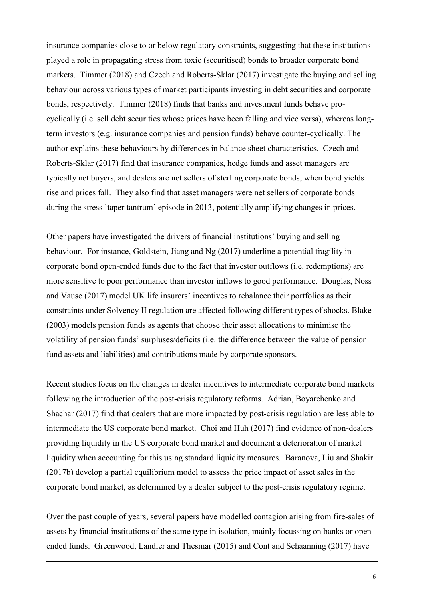insurance companies close to or below regulatory constraints, suggesting that these institutions played a role in propagating stress from toxic (securitised) bonds to broader corporate bond markets. Timmer (2018) and Czech and Roberts-Sklar (2017) investigate the buying and selling behaviour across various types of market participants investing in debt securities and corporate bonds, respectively. Timmer (2018) finds that banks and investment funds behave procyclically (i.e. sell debt securities whose prices have been falling and vice versa), whereas longterm investors (e.g. insurance companies and pension funds) behave counter-cyclically. The author explains these behaviours by differences in balance sheet characteristics. Czech and Roberts-Sklar (2017) find that insurance companies, hedge funds and asset managers are typically net buyers, and dealers are net sellers of sterling corporate bonds, when bond yields rise and prices fall. They also find that asset managers were net sellers of corporate bonds during the stress `taper tantrum' episode in 2013, potentially amplifying changes in prices.

Other papers have investigated the drivers of financial institutions' buying and selling behaviour. For instance, Goldstein, Jiang and Ng (2017) underline a potential fragility in corporate bond open-ended funds due to the fact that investor outflows (i.e. redemptions) are more sensitive to poor performance than investor inflows to good performance. Douglas, Noss and Vause (2017) model UK life insurers' incentives to rebalance their portfolios as their constraints under Solvency II regulation are affected following different types of shocks. Blake (2003) models pension funds as agents that choose their asset allocations to minimise the volatility of pension funds' surpluses/deficits (i.e. the difference between the value of pension fund assets and liabilities) and contributions made by corporate sponsors.

Recent studies focus on the changes in dealer incentives to intermediate corporate bond markets following the introduction of the post-crisis regulatory reforms. Adrian, Boyarchenko and Shachar (2017) find that dealers that are more impacted by post-crisis regulation are less able to intermediate the US corporate bond market. Choi and Huh (2017) find evidence of non-dealers providing liquidity in the US corporate bond market and document a deterioration of market liquidity when accounting for this using standard liquidity measures. Baranova, Liu and Shakir (2017b) develop a partial equilibrium model to assess the price impact of asset sales in the corporate bond market, as determined by a dealer subject to the post-crisis regulatory regime.

Over the past couple of years, several papers have modelled contagion arising from fire-sales of assets by financial institutions of the same type in isolation, mainly focussing on banks or openended funds. Greenwood, Landier and Thesmar (2015) and Cont and Schaanning (2017) have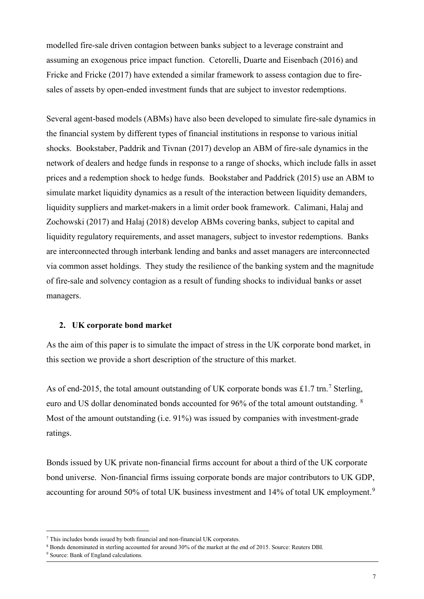modelled fire-sale driven contagion between banks subject to a leverage constraint and assuming an exogenous price impact function. Cetorelli, Duarte and Eisenbach (2016) and Fricke and Fricke (2017) have extended a similar framework to assess contagion due to firesales of assets by open-ended investment funds that are subject to investor redemptions.

Several agent-based models (ABMs) have also been developed to simulate fire-sale dynamics in the financial system by different types of financial institutions in response to various initial shocks. Bookstaber, Paddrik and Tivnan (2017) develop an ABM of fire-sale dynamics in the network of dealers and hedge funds in response to a range of shocks, which include falls in asset prices and a redemption shock to hedge funds. Bookstaber and Paddrick (2015) use an ABM to simulate market liquidity dynamics as a result of the interaction between liquidity demanders, liquidity suppliers and market-makers in a limit order book framework. Calimani, Halaj and Zochowski (2017) and Halaj (2018) develop ABMs covering banks, subject to capital and liquidity regulatory requirements, and asset managers, subject to investor redemptions. Banks are interconnected through interbank lending and banks and asset managers are interconnected via common asset holdings. They study the resilience of the banking system and the magnitude of fire-sale and solvency contagion as a result of funding shocks to individual banks or asset managers.

# **2. UK corporate bond market**

As the aim of this paper is to simulate the impact of stress in the UK corporate bond market, in this section we provide a short description of the structure of this market.

As of end-2015, the total amount outstanding of UK corporate bonds was £1.[7](#page-7-0) trn.<sup>7</sup> Sterling, euro and US dollar denominated bonds accounted for 96% of the total amount outstanding. <sup>[8](#page-7-1)</sup> Most of the amount outstanding (i.e. 91%) was issued by companies with investment-grade ratings.

Bonds issued by UK private non-financial firms account for about a third of the UK corporate bond universe. Non-financial firms issuing corporate bonds are major contributors to UK GDP, accounting for around 50% of total UK business investment and 14% of total UK employment.<sup>[9](#page-7-2)</sup>

<span id="page-7-1"></span><span id="page-7-0"></span>

<sup>&</sup>lt;sup>7</sup> This includes bonds issued by both financial and non-financial UK corporates.<br><sup>8</sup> Bonds denominated in sterling accounted for around 30% of the market at the end of 2015. Source: Reuters DBI.

<span id="page-7-2"></span><sup>9</sup> Source: Bank of England calculations.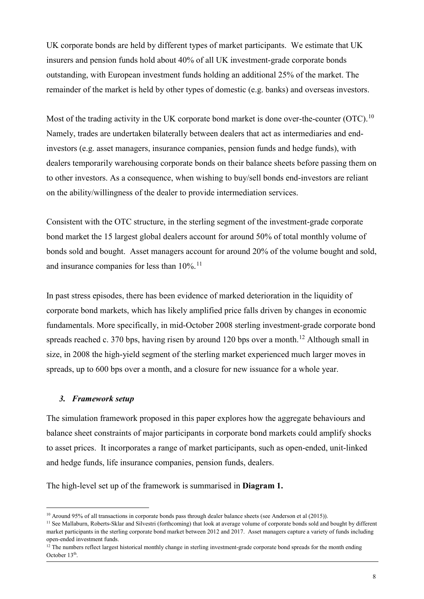UK corporate bonds are held by different types of market participants. We estimate that UK insurers and pension funds hold about 40% of all UK investment-grade corporate bonds outstanding, with European investment funds holding an additional 25% of the market. The remainder of the market is held by other types of domestic (e.g. banks) and overseas investors.

Most of the trading activity in the UK corporate bond market is done over-the-counter (OTC).<sup>[10](#page-8-0)</sup> Namely, trades are undertaken bilaterally between dealers that act as intermediaries and endinvestors (e.g. asset managers, insurance companies, pension funds and hedge funds), with dealers temporarily warehousing corporate bonds on their balance sheets before passing them on to other investors. As a consequence, when wishing to buy/sell bonds end-investors are reliant on the ability/willingness of the dealer to provide intermediation services.

Consistent with the OTC structure, in the sterling segment of the investment-grade corporate bond market the 15 largest global dealers account for around 50% of total monthly volume of bonds sold and bought. Asset managers account for around 20% of the volume bought and sold, and insurance companies for less than  $10\%$ .<sup>[11](#page-8-1)</sup>

In past stress episodes, there has been evidence of marked deterioration in the liquidity of corporate bond markets, which has likely amplified price falls driven by changes in economic fundamentals. More specifically, in mid-October 2008 sterling investment-grade corporate bond spreads reached c. 370 bps, having risen by around [12](#page-8-2)0 bps over a month.<sup>12</sup> Although small in size, in 2008 the high-yield segment of the sterling market experienced much larger moves in spreads, up to 600 bps over a month, and a closure for new issuance for a whole year.

# *3. Framework setup*

The simulation framework proposed in this paper explores how the aggregate behaviours and balance sheet constraints of major participants in corporate bond markets could amplify shocks to asset prices. It incorporates a range of market participants, such as open-ended, unit-linked and hedge funds, life insurance companies, pension funds, dealers.

The high-level set up of the framework is summarised in **Diagram 1.**

<span id="page-8-0"></span><sup>&</sup>lt;sup>10</sup> Around 95% of all transactions in corporate bonds pass through dealer balance sheets (see Anderson et al (2015)).

<span id="page-8-1"></span><sup>&</sup>lt;sup>11</sup> See Mallaburn, Roberts-Sklar and Silvestri (forthcoming) that look at average volume of corporate bonds sold and bought by different market participants in the sterling corporate bond market between 2012 and 2017. Asset managers capture a variety of funds including

<span id="page-8-2"></span>open-ended investment funds.<br><sup>12</sup> The numbers reflect largest historical monthly change in sterling investment-grade corporate bond spreads for the month ending October 13th.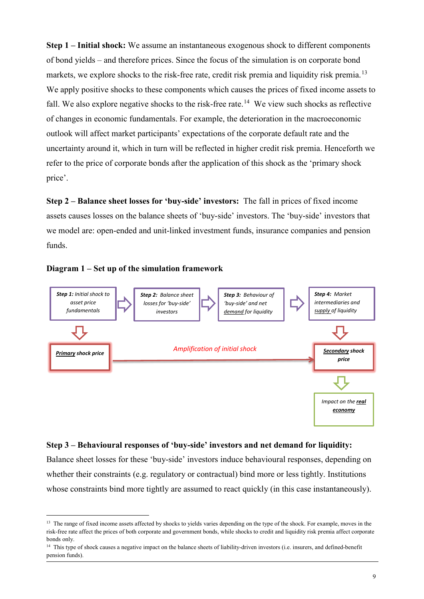**Step 1 – Initial shock:** We assume an instantaneous exogenous shock to different components of bond yields – and therefore prices. Since the focus of the simulation is on corporate bond markets, we explore shocks to the risk-free rate, credit risk premia and liquidity risk premia.<sup>[13](#page-9-0)</sup> We apply positive shocks to these components which causes the prices of fixed income assets to fall. We also explore negative shocks to the risk-free rate.<sup>14</sup> We view such shocks as reflective of changes in economic fundamentals. For example, the deterioration in the macroeconomic outlook will affect market participants' expectations of the corporate default rate and the uncertainty around it, which in turn will be reflected in higher credit risk premia. Henceforth we refer to the price of corporate bonds after the application of this shock as the 'primary shock price'.

**Step 2 – Balance sheet losses for 'buy-side' investors:** The fall in prices of fixed income assets causes losses on the balance sheets of 'buy-side' investors. The 'buy-side' investors that we model are: open-ended and unit-linked investment funds, insurance companies and pension funds.





### **Step 3 – Behavioural responses of 'buy-side' investors and net demand for liquidity:**

Balance sheet losses for these 'buy-side' investors induce behavioural responses, depending on whether their constraints (e.g. regulatory or contractual) bind more or less tightly. Institutions whose constraints bind more tightly are assumed to react quickly (in this case instantaneously).

<span id="page-9-0"></span><sup>&</sup>lt;sup>13</sup> The range of fixed income assets affected by shocks to yields varies depending on the type of the shock. For example, moves in the risk-free rate affect the prices of both corporate and government bonds, while shocks to credit and liquidity risk premia affect corporate bonds only.

<span id="page-9-1"></span><sup>&</sup>lt;sup>14</sup> This type of shock causes a negative impact on the balance sheets of liability-driven investors (i.e. insurers, and defined-benefit pension funds).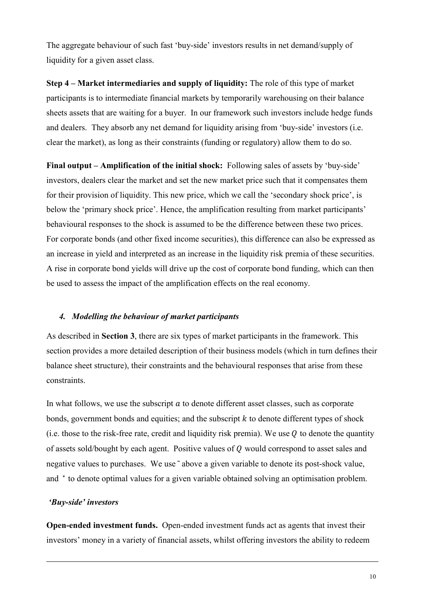The aggregate behaviour of such fast 'buy-side' investors results in net demand/supply of liquidity for a given asset class.

**Step 4 – Market intermediaries and supply of liquidity:** The role of this type of market participants is to intermediate financial markets by temporarily warehousing on their balance sheets assets that are waiting for a buyer. In our framework such investors include hedge funds and dealers. They absorb any net demand for liquidity arising from 'buy-side' investors (i.e. clear the market), as long as their constraints (funding or regulatory) allow them to do so.

**Final output – Amplification of the initial shock:** Following sales of assets by 'buy-side' investors, dealers clear the market and set the new market price such that it compensates them for their provision of liquidity. This new price, which we call the 'secondary shock price', is below the 'primary shock price'. Hence, the amplification resulting from market participants' behavioural responses to the shock is assumed to be the difference between these two prices. For corporate bonds (and other fixed income securities), this difference can also be expressed as an increase in yield and interpreted as an increase in the liquidity risk premia of these securities. A rise in corporate bond yields will drive up the cost of corporate bond funding, which can then be used to assess the impact of the amplification effects on the real economy.

# *4. Modelling the behaviour of market participants*

As described in **Section 3**, there are six types of market participants in the framework. This section provides a more detailed description of their business models (which in turn defines their balance sheet structure), their constraints and the behavioural responses that arise from these constraints.

In what follows, we use the subscript  $a$  to denote different asset classes, such as corporate bonds, government bonds and equities; and the subscript  $k$  to denote different types of shock (i.e. those to the risk-free rate, credit and liquidity risk premia). We use  $Q$  to denote the quantity of assets sold/bought by each agent. Positive values of  $Q$  would correspond to asset sales and negative values to purchases. We use ~ above a given variable to denote its post-shock value, and  $*$  to denote optimal values for a given variable obtained solving an optimisation problem.

### *'Buy-side' investors*

**Open-ended investment funds.** Open-ended investment funds act as agents that invest their investors' money in a variety of financial assets, whilst offering investors the ability to redeem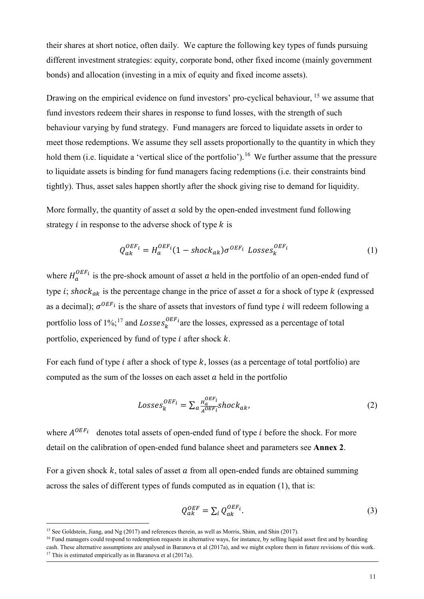their shares at short notice, often daily. We capture the following key types of funds pursuing different investment strategies: equity, corporate bond, other fixed income (mainly government bonds) and allocation (investing in a mix of equity and fixed income assets).

Drawing on the empirical evidence on fund investors' pro-cyclical behaviour, <sup>[15](#page-11-0)</sup> we assume that fund investors redeem their shares in response to fund losses, with the strength of such behaviour varying by fund strategy. Fund managers are forced to liquidate assets in order to meet those redemptions. We assume they sell assets proportionally to the quantity in which they hold them (i.e. liquidate a 'vertical slice of the portfolio').<sup>[16](#page-11-1)</sup> We further assume that the pressure to liquidate assets is binding for fund managers facing redemptions (i.e. their constraints bind tightly). Thus, asset sales happen shortly after the shock giving rise to demand for liquidity.

More formally, the quantity of asset  $a$  sold by the open-ended investment fund following strategy  $i$  in response to the adverse shock of type  $k$  is

$$
Q_{ak}^{OEF_i} = H_a^{OEF_i} (1 - shock_{ak}) \sigma^{OEF_i} Losses_k^{OEF_i}
$$
 (1)

where  $H_a^{OEF_i}$  is the pre-shock amount of asset *a* held in the portfolio of an open-ended fund of type *i*; shock<sub>ak</sub> is the percentage change in the price of asset  $\alpha$  for a shock of type  $k$  (expressed as a decimal);  $\sigma^{OEF_i}$  is the share of assets that investors of fund type *i* will redeem following a portfolio loss of  $1\%$ ;<sup>[17](#page-11-2)</sup> and *Losses*<sup>*OEF<sub>i</sub>*</sup> are the losses, expressed as a percentage of total portfolio, experienced by fund of type  $i$  after shock  $k$ .

For each fund of type *i* after a shock of type  $k$ , losses (as a percentage of total portfolio) are computed as the sum of the losses on each asset  $a$  held in the portfolio

$$
Losses_k^{OEF_i} = \sum_{a} \frac{H_a^{OEF_i}}{A^{OEF_i}} shock_{ak},
$$
\n(2)

where  $A^{OEF_i}$  denotes total assets of open-ended fund of type *i* before the shock. For more detail on the calibration of open-ended fund balance sheet and parameters see **Annex 2**.

For a given shock  $k$ , total sales of asset  $\alpha$  from all open-ended funds are obtained summing across the sales of different types of funds computed as in equation (1), that is:

$$
Q_{ak}^{OEF} = \sum_{i} Q_{ak}^{OEF_{i}}.
$$
 (3)

<span id="page-11-0"></span><sup>&</sup>lt;sup>15</sup> See Goldstein, Jiang, and Ng (2017) and references therein, as well as Morris, Shim, and Shin (2017).

<span id="page-11-2"></span><span id="page-11-1"></span><sup>&</sup>lt;sup>16</sup> Fund managers could respond to redemption requests in alternative ways, for instance, by selling liquid asset first and by hoarding cash. These alternative assumptions are analysed in Baranova et al (2017a), and we might explore them in future revisions of this work. <sup>17</sup> This is estimated empirically as in Baranova et al  $(2017a)$ .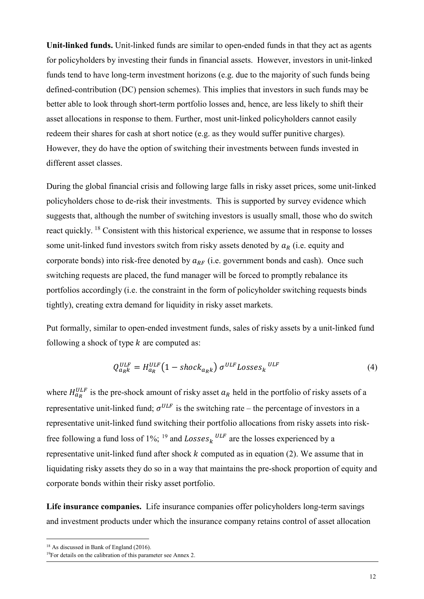**Unit-linked funds.** Unit-linked funds are similar to open-ended funds in that they act as agents for policyholders by investing their funds in financial assets. However, investors in unit-linked funds tend to have long-term investment horizons (e.g. due to the majority of such funds being defined-contribution (DC) pension schemes). This implies that investors in such funds may be better able to look through short-term portfolio losses and, hence, are less likely to shift their asset allocations in response to them. Further, most unit-linked policyholders cannot easily redeem their shares for cash at short notice (e.g. as they would suffer punitive charges). However, they do have the option of switching their investments between funds invested in different asset classes.

During the global financial crisis and following large falls in risky asset prices, some unit-linked policyholders chose to de-risk their investments. This is supported by survey evidence which suggests that, although the number of switching investors is usually small, those who do switch react quickly. [18](#page-12-0) Consistent with this historical experience, we assume that in response to losses some unit-linked fund investors switch from risky assets denoted by  $a_R$  (i.e. equity and corporate bonds) into risk-free denoted by  $a_{RF}$  (i.e. government bonds and cash). Once such switching requests are placed, the fund manager will be forced to promptly rebalance its portfolios accordingly (i.e. the constraint in the form of policyholder switching requests binds tightly), creating extra demand for liquidity in risky asset markets.

Put formally, similar to open-ended investment funds, sales of risky assets by a unit-linked fund following a shock of type  $k$  are computed as:

$$
Q_{a_{R}k}^{ULF} = H_{a_{R}}^{ULF} \left( 1 - \text{shock}_{a_{R}k} \right) \sigma^{ULF} \text{Losses}_{k}^{ULF} \tag{4}
$$

where  $H_{a_R}^{U L F}$  is the pre-shock amount of risky asset  $a_R$  held in the portfolio of risky assets of a representative unit-linked fund;  $\sigma^{ULF}$  is the switching rate – the percentage of investors in a representative unit-linked fund switching their portfolio allocations from risky assets into risk-free following a fund loss of 1%; <sup>[19](#page-12-1)</sup> and  $Losses_k$ <sup>ULF</sup> are the losses experienced by a representative unit-linked fund after shock  $k$  computed as in equation (2). We assume that in liquidating risky assets they do so in a way that maintains the pre-shock proportion of equity and corporate bonds within their risky asset portfolio.

**Life insurance companies.** Life insurance companies offer policyholders long-term savings and investment products under which the insurance company retains control of asset allocation

<span id="page-12-0"></span><sup>&</sup>lt;sup>18</sup> As discussed in Bank of England (2016).

<span id="page-12-1"></span><sup>&</sup>lt;sup>19</sup>For details on the calibration of this parameter see Annex 2.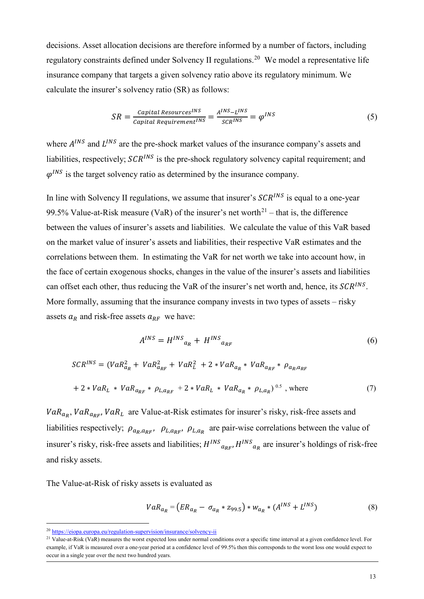decisions. Asset allocation decisions are therefore informed by a number of factors, including regulatory constraints defined under Solvency II regulations.<sup>[20](#page-13-0)</sup> We model a representative life insurance company that targets a given solvency ratio above its regulatory minimum. We calculate the insurer's solvency ratio (SR) as follows:

$$
SR = \frac{capital\ Resources^{INS}}{Capital\ Required\ Required\ Nequirement^{INS}} = \frac{A^{INS} - L^{INS}}{SCR^{INS}} = \varphi^{INS}
$$
 (5)

where  $A^{INS}$  and  $L^{INS}$  are the pre-shock market values of the insurance company's assets and liabilities, respectively;  $\mathcal{S} \mathcal{C} \mathcal{R}^{INS}$  is the pre-shock regulatory solvency capital requirement; and  $\varphi^{INS}$  is the target solvency ratio as determined by the insurance company.

In line with Solvency II regulations, we assume that insurer's  $SCR^{INS}$  is equal to a one-year 99.5% Value-at-Risk measure (VaR) of the insurer's net worth<sup>[21](#page-13-1)</sup> – that is, the difference between the values of insurer's assets and liabilities. We calculate the value of this VaR based on the market value of insurer's assets and liabilities, their respective VaR estimates and the correlations between them. In estimating the VaR for net worth we take into account how, in the face of certain exogenous shocks, changes in the value of the insurer's assets and liabilities can offset each other, thus reducing the VaR of the insurer's net worth and, hence, its  $SCR^{INS}$ . More formally, assuming that the insurance company invests in two types of assets – risky assets  $a_R$  and risk-free assets  $a_{RF}$  we have:

$$
A^{INS} = H^{INS}{}_{a_R} + H^{INS}{}_{a_{RF}} \tag{6}
$$

$$
SCR^{INS} = (VaR_{a_R}^2 + VaR_{a_{RF}}^2 + VaR_L^2 + 2 * VaR_{a_R} * VaR_{a_{RF}} * \rho_{a_R, a_{RF}}
$$
  
+ 2 \* VaR<sub>L</sub> \* VaR<sub>a\_{RF</sub> \* \rho\_{L,a\_{RF}} + 2 \* VaR<sub>L</sub> \* VaR<sub>a\_R</sub> \* \rho\_{L,a\_R})<sup>0.5</sup>, where (7)

 $VaR_{a_R}$ ,  $VaR_{a_{RF}}$ ,  $VaR_L$  are Value-at-Risk estimates for insurer's risky, risk-free assets and liabilities respectively;  $\rho_{a_R,a_{RF}}$ ,  $\rho_{L,a_{RF}}$ ,  $\rho_{L,a_R}$  are pair-wise correlations between the value of insurer's risky, risk-free assets and liabilities;  $H^{INS}$ <sub>aker</sub>,  $H^{INS}$ <sub>ak</sub> are insurer's holdings of risk-free and risky assets.

The Value-at-Risk of risky assets is evaluated as

$$
VaR_{a_R} = (ER_{a_R} - \sigma_{a_R} * z_{99.5}) * w_{a_R} * (A^{INS} + L^{INS})
$$
\n(8)

<span id="page-13-0"></span> <sup>20</sup> <https://eiopa.europa.eu/regulation-supervision/insurance/solvency-ii>

<span id="page-13-1"></span><sup>&</sup>lt;sup>21</sup> Value-at-Risk (VaR) measures the worst expected loss under normal conditions over a specific time interval at a given confidence level. For example, if VaR is measured over a one-year period at a confidence level of 99.5% then this corresponds to the worst loss one would expect to occur in a single year over the next two hundred years.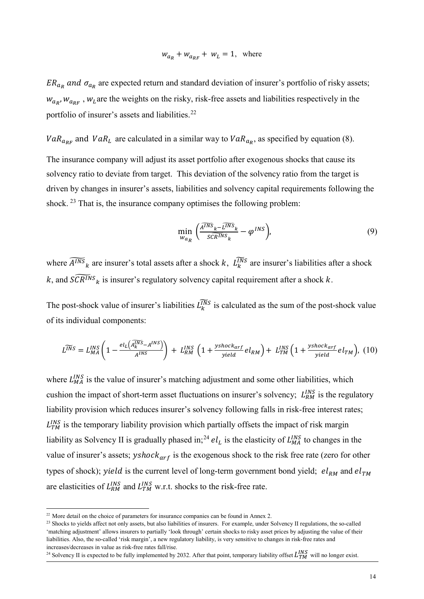$$
w_{a_R} + w_{a_{RF}} + w_L = 1, \text{ where}
$$

 $ER_{a_R}$  and  $\sigma_{a_R}$  are expected return and standard deviation of insurer's portfolio of risky assets;  $w_{a_R}$ ,  $w_{a_{RF}}$ ,  $w_L$  are the weights on the risky, risk-free assets and liabilities respectively in the portfolio of insurer's assets and liabilities.<sup>[22](#page-14-0)</sup>

 $VaR_{a_{RF}}$  and  $VaR_L$  are calculated in a similar way to  $VaR_{a_R}$ , as specified by equation (8).

The insurance company will adjust its asset portfolio after exogenous shocks that cause its solvency ratio to deviate from target. This deviation of the solvency ratio from the target is driven by changes in insurer's assets, liabilities and solvency capital requirements following the shock. <sup>[23](#page-14-1)</sup> That is, the insurance company optimises the following problem:

$$
\min_{w_{a_R}} \left( \frac{\widehat{A^{INS}}_k - \widehat{L^{INS}}_k}{s\widehat{CR^{INS}}_k} - \varphi^{INS} \right),\tag{9}
$$

where  $\widehat{A^{INS}}_k$  are insurer's total assets after a shock k,  $L_k^{INS}$  are insurer's liabilities after a shock k, and  $\widetilde{SCR^{INS}}_k$  is insurer's regulatory solvency capital requirement after a shock k.

The post-shock value of insurer's liabilities  $L_k^{\overline{INS}}$  is calculated as the sum of the post-shock value of its individual components:

$$
L^{\widetilde{INS}} = L_{MA}^{INS} \left( 1 - \frac{el_L \left( \widetilde{A_k^{INS}} - A^{INS} \right)}{A^{INS}} \right) + L_{RM}^{INS} \left( 1 + \frac{y \, shock_{arf}}{y \, ideal} \, el_{RM} \right) + L_{TM}^{INS} \left( 1 + \frac{y \, shock_{arf}}{y \, ideal} \, el_{TM} \right), \tag{10}
$$

where  $L_{MA}^{INS}$  is the value of insurer's matching adjustment and some other liabilities, which cushion the impact of short-term asset fluctuations on insurer's solvency;  $L_{RM}^{INS}$  is the regulatory liability provision which reduces insurer's solvency following falls in risk-free interest rates;  $L_{TM}^{INS}$  is the temporary liability provision which partially offsets the impact of risk margin liability as Solvency II is gradually phased in;<sup>[24](#page-14-2)</sup>  $el_L$  is the elasticity of  $L_{MA}^{INS}$  to changes in the value of insurer's assets;  $yshock_{arf}$  is the exogenous shock to the risk free rate (zero for other types of shock); yield is the current level of long-term government bond yield;  $el_{RM}$  and  $el_{TM}$ are elasticities of  $L_{RM}^{INS}$  and  $L_{TM}^{INS}$  w.r.t. shocks to the risk-free rate.

<span id="page-14-0"></span> $22$  More detail on the choice of parameters for insurance companies can be found in Annex 2.

<span id="page-14-1"></span><sup>&</sup>lt;sup>23</sup> Shocks to yields affect not only assets, but also liabilities of insurers. For example, under Solvency II regulations, the so-called 'matching adjustment' allows insurers to partially 'look through' certain shocks to risky asset prices by adjusting the value of their liabilities. Also, the so-called 'risk margin', a new regulatory liability, is very sensitive to changes in risk-free rates and

<span id="page-14-2"></span>increases/decreases in value as risk-free rates fall/rise.<br><sup>24</sup> Solvency II is expected to be fully implemented by 2032. After that point, temporary liability offset  $L_{TM}^{INS}$  will no longer exist.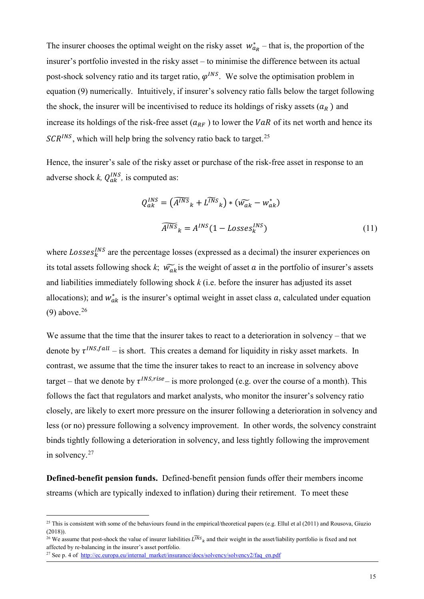The insurer chooses the optimal weight on the risky asset  $w_{\alpha_R}^*$  – that is, the proportion of the insurer's portfolio invested in the risky asset – to minimise the difference between its actual post-shock solvency ratio and its target ratio,  $\varphi^{INS}$ . We solve the optimisation problem in equation (9) numerically. Intuitively, if insurer's solvency ratio falls below the target following the shock, the insurer will be incentivised to reduce its holdings of risky assets  $(a_R)$  and increase its holdings of the risk-free asset  $(a_{RF})$  to lower the  $VaR$  of its net worth and hence its  $SCR^{INS}$ , which will help bring the solvency ratio back to target.<sup>[25](#page-15-0)</sup>

Hence, the insurer's sale of the risky asset or purchase of the risk-free asset in response to an adverse shock *k*,  $Q_{ak}^{INS}$ , is computed as:

$$
Q_{ak}^{INS} = \left(\overline{A^{INS}}_k + \overline{L^{INS}}_k\right) * \left(\widetilde{w_{ak}} - w_{ak}^*\right)
$$

$$
\overline{A^{INS}}_k = A^{INS} (1 - Losses_k^{INS})
$$
(11)

where  $Losses_k^{INS}$  are the percentage losses (expressed as a decimal) the insurer experiences on its total assets following shock *k*;  $\widetilde{w_{ak}}$  is the weight of asset *a* in the portfolio of insurer's assets and liabilities immediately following shock *k* (i.e. before the insurer has adjusted its asset allocations); and  $w_{ak}^*$  is the insurer's optimal weight in asset class  $a$ , calculated under equation  $(9)$  above.<sup>[26](#page-15-1)</sup>

We assume that the time that the insurer takes to react to a deterioration in solvency – that we denote by  $\tau^{INS, fall}$  – is short. This creates a demand for liquidity in risky asset markets. In contrast, we assume that the time the insurer takes to react to an increase in solvency above target – that we denote by  $\tau^{INS, rise}$  – is more prolonged (e.g. over the course of a month). This follows the fact that regulators and market analysts, who monitor the insurer's solvency ratio closely, are likely to exert more pressure on the insurer following a deterioration in solvency and less (or no) pressure following a solvency improvement. In other words, the solvency constraint binds tightly following a deterioration in solvency, and less tightly following the improvement in solvency.<sup>[27](#page-15-2)</sup>

**Defined-benefit pension funds.** Defined-benefit pension funds offer their members income streams (which are typically indexed to inflation) during their retirement. To meet these

<span id="page-15-0"></span> $^{25}$  This is consistent with some of the behaviours found in the empirical/theoretical papers (e.g. Ellul et al (2011) and Rousova, Giuzio (2018)).

<span id="page-15-1"></span><sup>&</sup>lt;sup>26</sup> We assume that post-shock the value of insurer liabilities  $\widetilde{L^{NS}}_k$  and their weight in the asset/liability portfolio is fixed and not affected by re-balancing in the insurer's asset portfolio.

<span id="page-15-2"></span><sup>&</sup>lt;sup>27</sup> See p. 4 of [http://ec.europa.eu/internal\\_market/insurance/docs/solvency/solvency2/faq\\_en.pdf](http://ec.europa.eu/internal_market/insurance/docs/solvency/solvency2/faq_en.pdf)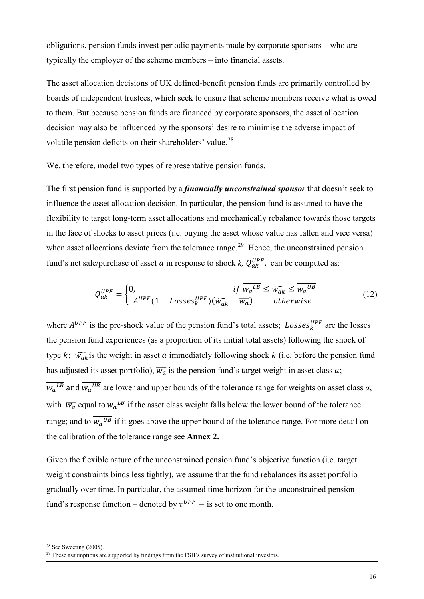obligations, pension funds invest periodic payments made by corporate sponsors – who are typically the employer of the scheme members – into financial assets.

The asset allocation decisions of UK defined-benefit pension funds are primarily controlled by boards of independent trustees, which seek to ensure that scheme members receive what is owed to them. But because pension funds are financed by corporate sponsors, the asset allocation decision may also be influenced by the sponsors' desire to minimise the adverse impact of volatile pension deficits on their shareholders' value.<sup>[28](#page-16-0)</sup>

We, therefore, model two types of representative pension funds.

The first pension fund is supported by a *financially unconstrained sponsor* that doesn't seek to influence the asset allocation decision. In particular, the pension fund is assumed to have the flexibility to target long-term asset allocations and mechanically rebalance towards those targets in the face of shocks to asset prices (i.e. buying the asset whose value has fallen and vice versa) when asset allocations deviate from the tolerance range.<sup>[29](#page-16-1)</sup> Hence, the unconstrained pension fund's net sale/purchase of asset  $a$  in response to shock  $k$ ,  $Q_{ak}^{UPF}$ , can be computed as:

$$
Q_{ak}^{UPF} = \begin{cases} 0, & \text{if } \overline{w_a^{LB}} \le \widetilde{w_{ak}} \le \overline{w_a^{UB}} \\ A^{UPF} (1 - Losses_k^{UPF}) (\widetilde{w_{ak}} - \overline{w_a}) & \text{otherwise} \end{cases}
$$
(12)

where  $A^{UPF}$  is the pre-shock value of the pension fund's total assets;  $Loss_{k}^{UPF}$  are the losses the pension fund experiences (as a proportion of its initial total assets) following the shock of type k;  $\widetilde{w_{ak}}$  is the weight in asset a immediately following shock k (i.e. before the pension fund has adjusted its asset portfolio),  $\overline{w_a}$  is the pension fund's target weight in asset class  $a$ ;  $\overline{w_a^{LB}}$  and  $\overline{w_a^{UB}}$  are lower and upper bounds of the tolerance range for weights on asset class *a*, with  $\overline{w_a}$  equal to  $w_a{}^{LB}$  if the asset class weight falls below the lower bound of the tolerance range; and to  $\overline{w_a^{UB}}$  if it goes above the upper bound of the tolerance range. For more detail on the calibration of the tolerance range see **Annex 2.** 

Given the flexible nature of the unconstrained pension fund's objective function (i.e. target weight constraints binds less tightly), we assume that the fund rebalances its asset portfolio gradually over time. In particular, the assumed time horizon for the unconstrained pension fund's response function – denoted by  $\tau^{UPF}$  – is set to one month.

<span id="page-16-0"></span> $28$  See Sweeting (2005).

<span id="page-16-1"></span> $29$  These assumptions are supported by findings from the FSB's survey of institutional investors.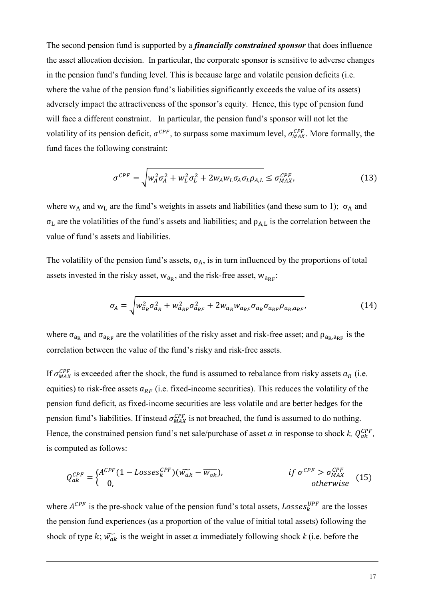The second pension fund is supported by a *financially constrained sponsor* that does influence the asset allocation decision. In particular, the corporate sponsor is sensitive to adverse changes in the pension fund's funding level. This is because large and volatile pension deficits (i.e. where the value of the pension fund's liabilities significantly exceeds the value of its assets) adversely impact the attractiveness of the sponsor's equity. Hence, this type of pension fund will face a different constraint. In particular, the pension fund's sponsor will not let the volatility of its pension deficit,  $\sigma^{CPF}$ , to surpass some maximum level,  $\sigma_{MAX}^{CPF}$ . More formally, the fund faces the following constraint:

$$
\sigma^{CPF} = \sqrt{w_A^2 \sigma_A^2 + w_L^2 \sigma_L^2 + 2w_A w_L \sigma_A \sigma_L \rho_{A,L}} \leq \sigma_{MAX}^{CPF},
$$
\n(13)

where  $w_A$  and  $w_L$  are the fund's weights in assets and liabilities (and these sum to 1);  $\sigma_A$  and  $\sigma_L$  are the volatilities of the fund's assets and liabilities; and  $\rho_{A,L}$  is the correlation between the value of fund's assets and liabilities.

The volatility of the pension fund's assets,  $\sigma_A$ , is in turn influenced by the proportions of total assets invested in the risky asset,  $w_{a_R}$ , and the risk-free asset,  $w_{a_{RF}}$ :

$$
\sigma_A = \sqrt{W_{a_R}^2 \sigma_{a_R}^2 + W_{a_{RF}}^2 \sigma_{a_{RF}}^2 + 2W_{a_R} W_{a_{RF}} \sigma_{a_R} \sigma_{a_{RF}} \rho_{a_R, a_{RF}}},
$$
(14)

where  $\sigma_{a_R}$  and  $\sigma_{a_{RF}}$  are the volatilities of the risky asset and risk-free asset; and  $\rho_{a_R,a_{RF}}$  is the correlation between the value of the fund's risky and risk-free assets.

If  $\sigma_{MAX}^{CPF}$  is exceeded after the shock, the fund is assumed to rebalance from risky assets  $a_R$  (i.e. equities) to risk-free assets  $a_{RF}$  (i.e. fixed-income securities). This reduces the volatility of the pension fund deficit, as fixed-income securities are less volatile and are better hedges for the pension fund's liabilities. If instead  $\sigma_{MAX}^{CPF}$  is not breached, the fund is assumed to do nothing. Hence, the constrained pension fund's net sale/purchase of asset  $\alpha$  in response to shock  $k$ ,  $Q_{ak}^{CPF}$ , is computed as follows:

$$
Q_{ak}^{CPF} = \begin{cases} A^{CPF} (1 - Losses_k^{CPF}) (\widetilde{w_{ak}} - \overline{w_{ak}}), & \text{if } \sigma^{CPF} > \sigma_{MAX}^{CPF} \\ 0, & \text{otherwise} \end{cases}
$$
 (15)

where  $A^{CPF}$  is the pre-shock value of the pension fund's total assets,  $Losses_k^{UPF}$  are the losses the pension fund experiences (as a proportion of the value of initial total assets) following the shock of type  $k$ ;  $\widetilde{w_{ak}}$  is the weight in asset  $a$  immediately following shock  $k$  (i.e. before the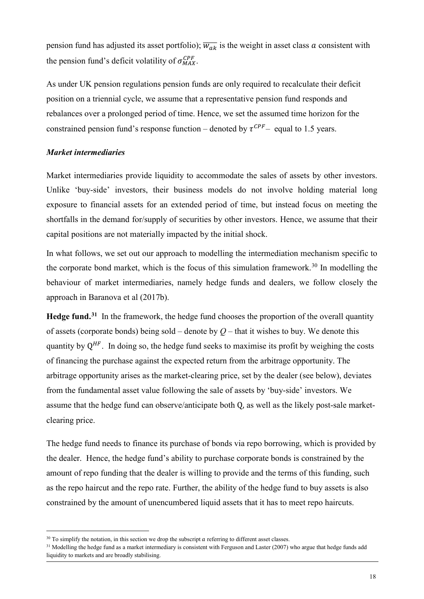pension fund has adjusted its asset portfolio);  $\overline{w_{ak}}$  is the weight in asset class  $a$  consistent with the pension fund's deficit volatility of  $\sigma_{MAX}^{CPF}$ .

As under UK pension regulations pension funds are only required to recalculate their deficit position on a triennial cycle, we assume that a representative pension fund responds and rebalances over a prolonged period of time. Hence, we set the assumed time horizon for the constrained pension fund's response function – denoted by  $\tau^{CPF}$  – equal to 1.5 years.

# *Market intermediaries*

Market intermediaries provide liquidity to accommodate the sales of assets by other investors. Unlike 'buy-side' investors, their business models do not involve holding material long exposure to financial assets for an extended period of time, but instead focus on meeting the shortfalls in the demand for/supply of securities by other investors. Hence, we assume that their capital positions are not materially impacted by the initial shock.

In what follows, we set out our approach to modelling the intermediation mechanism specific to the corporate bond market, which is the focus of this simulation framework.<sup>[30](#page-18-0)</sup> In modelling the behaviour of market intermediaries, namely hedge funds and dealers, we follow closely the approach in Baranova et al (2017b).

**Hedge fund.[31](#page-18-1)** In the framework, the hedge fund chooses the proportion of the overall quantity of assets (corporate bonds) being sold – denote by  $O$  – that it wishes to buy. We denote this quantity by  $Q^{HF}$ . In doing so, the hedge fund seeks to maximise its profit by weighing the costs of financing the purchase against the expected return from the arbitrage opportunity. The arbitrage opportunity arises as the market-clearing price, set by the dealer (see below), deviates from the fundamental asset value following the sale of assets by 'buy-side' investors. We assume that the hedge fund can observe/anticipate both Q, as well as the likely post-sale marketclearing price.

The hedge fund needs to finance its purchase of bonds via repo borrowing, which is provided by the dealer. Hence, the hedge fund's ability to purchase corporate bonds is constrained by the amount of repo funding that the dealer is willing to provide and the terms of this funding, such as the repo haircut and the repo rate. Further, the ability of the hedge fund to buy assets is also constrained by the amount of unencumbered liquid assets that it has to meet repo haircuts.

<span id="page-18-1"></span><span id="page-18-0"></span> $30$  To simplify the notation, in this section we drop the subscript *a* referring to different asset classes.<br><sup>31</sup> Modelling the hedge fund as a market intermediary is consistent with Ferguson and Laster (2007) who argue liquidity to markets and are broadly stabilising.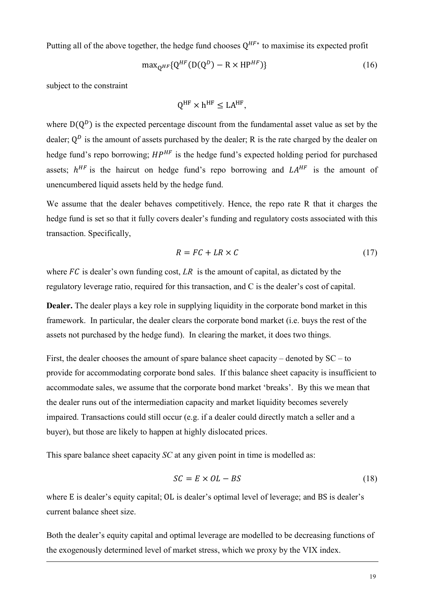Putting all of the above together, the hedge fund chooses  $Q^{HF*}$  to maximise its expected profit

$$
\max_{Q^{HF}} \{ Q^{HF}(D(Q^D) - R \times HP^{HF}) \} \tag{16}
$$

subject to the constraint

$$
Q^{HF} \times h^{HF} \le LA^{HF},
$$

where  $D(Q^D)$  is the expected percentage discount from the fundamental asset value as set by the dealer;  $Q^D$  is the amount of assets purchased by the dealer; R is the rate charged by the dealer on hedge fund's repo borrowing;  $HP^{HF}$  is the hedge fund's expected holding period for purchased assets;  $h^{HF}$  is the haircut on hedge fund's repo borrowing and  $LA^{HF}$  is the amount of unencumbered liquid assets held by the hedge fund.

We assume that the dealer behaves competitively. Hence, the repo rate R that it charges the hedge fund is set so that it fully covers dealer's funding and regulatory costs associated with this transaction. Specifically,

$$
R = FC + LR \times C \tag{17}
$$

where  $FC$  is dealer's own funding cost,  $LR$  is the amount of capital, as dictated by the regulatory leverage ratio, required for this transaction, and C is the dealer's cost of capital.

**Dealer.** The dealer plays a key role in supplying liquidity in the corporate bond market in this framework. In particular, the dealer clears the corporate bond market (i.e. buys the rest of the assets not purchased by the hedge fund). In clearing the market, it does two things.

First, the dealer chooses the amount of spare balance sheet capacity – denoted by SC – to provide for accommodating corporate bond sales. If this balance sheet capacity is insufficient to accommodate sales, we assume that the corporate bond market 'breaks'. By this we mean that the dealer runs out of the intermediation capacity and market liquidity becomes severely impaired. Transactions could still occur (e.g. if a dealer could directly match a seller and a buyer), but those are likely to happen at highly dislocated prices.

This spare balance sheet capacity *SC* at any given point in time is modelled as:

$$
SC = E \times OL - BS \tag{18}
$$

where E is dealer's equity capital; OL is dealer's optimal level of leverage; and BS is dealer's current balance sheet size.

Both the dealer's equity capital and optimal leverage are modelled to be decreasing functions of the exogenously determined level of market stress, which we proxy by the VIX index.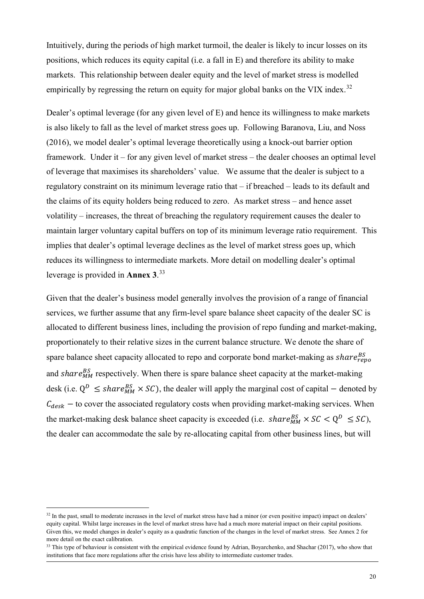Intuitively, during the periods of high market turmoil, the dealer is likely to incur losses on its positions, which reduces its equity capital (i.e. a fall in E) and therefore its ability to make markets. This relationship between dealer equity and the level of market stress is modelled empirically by regressing the return on equity for major global banks on the VIX index.<sup>[32](#page-20-0)</sup>

Dealer's optimal leverage (for any given level of E) and hence its willingness to make markets is also likely to fall as the level of market stress goes up. Following Baranova, Liu, and Noss (2016), we model dealer's optimal leverage theoretically using a knock-out barrier option framework. Under it – for any given level of market stress – the dealer chooses an optimal level of leverage that maximises its shareholders' value. We assume that the dealer is subject to a regulatory constraint on its minimum leverage ratio that – if breached – leads to its default and the claims of its equity holders being reduced to zero. As market stress – and hence asset volatility – increases, the threat of breaching the regulatory requirement causes the dealer to maintain larger voluntary capital buffers on top of its minimum leverage ratio requirement. This implies that dealer's optimal leverage declines as the level of market stress goes up, which reduces its willingness to intermediate markets. More detail on modelling dealer's optimal leverage is provided in **Annex 3**. [33](#page-20-1)

Given that the dealer's business model generally involves the provision of a range of financial services, we further assume that any firm-level spare balance sheet capacity of the dealer SC is allocated to different business lines, including the provision of repo funding and market-making, proportionately to their relative sizes in the current balance structure. We denote the share of spare balance sheet capacity allocated to repo and corporate bond market-making as share $P_{\text{reno}}^{BS}$ and  $share_{MM}^{BS}$  respectively. When there is spare balance sheet capacity at the market-making desk (i.e.  $Q^D \leq share_{MM}^{BS} \times SC$ ), the dealer will apply the marginal cost of capital – denoted by  $C_{desk}$  – to cover the associated regulatory costs when providing market-making services. When the market-making desk balance sheet capacity is exceeded (i.e.  $share_{MM}^{BS} \times SC < Q^D \leq SC$ ), the dealer can accommodate the sale by re-allocating capital from other business lines, but will

<span id="page-20-0"></span> $32$  In the past, small to moderate increases in the level of market stress have had a minor (or even positive impact) impact on dealers' equity capital. Whilst large increases in the level of market stress have had a much more material impact on their capital positions. Given this, we model changes in dealer's equity as a quadratic function of the changes in the level of market stress. See Annex 2 for more detail on the exact calibration.

<span id="page-20-1"></span><sup>&</sup>lt;sup>33</sup> This type of behaviour is consistent with the empirical evidence found by Adrian, Boyarchenko, and Shachar (2017), who show that institutions that face more regulations after the crisis have less ability to intermediate customer trades.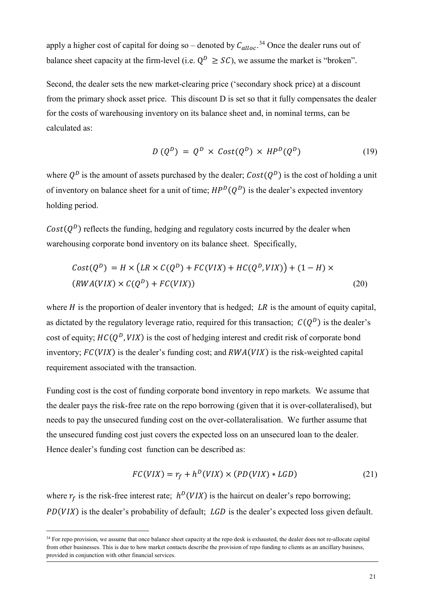apply a higher cost of capital for doing so – denoted by  $C_{alloc}$ .<sup>[34](#page-21-0)</sup> Once the dealer runs out of balance sheet capacity at the firm-level (i.e.  $Q^D \geq SC$ ), we assume the market is "broken".

Second, the dealer sets the new market-clearing price ('secondary shock price) at a discount from the primary shock asset price. This discount D is set so that it fully compensates the dealer for the costs of warehousing inventory on its balance sheet and, in nominal terms, can be calculated as:

$$
D(Q^{D}) = Q^{D} \times Cost(Q^{D}) \times HP^{D}(Q^{D})
$$
 (19)

where  $Q^D$  is the amount of assets purchased by the dealer;  $Cost(Q^D)$  is the cost of holding a unit of inventory on balance sheet for a unit of time;  $HP^{D}(Q^{D})$  is the dealer's expected inventory holding period.

 $Cost(Q^D)$  reflects the funding, hedging and regulatory costs incurred by the dealer when warehousing corporate bond inventory on its balance sheet. Specifically,

$$
Cost(QD) = H \times (LR \times C(QD) + FC(VIX) + HC(QD, VIX)) + (1 - H) \times
$$
  
(
$$
RWA(VIX) \times C(QD) + FC(VIX))
$$
 (20)

where  $H$  is the proportion of dealer inventory that is hedged; LR is the amount of equity capital, as dictated by the regulatory leverage ratio, required for this transaction;  $C(Q^D)$  is the dealer's cost of equity;  $HC(Q^D, VIX)$  is the cost of hedging interest and credit risk of corporate bond inventory;  $FC(VIX)$  is the dealer's funding cost; and  $RWA(VIX)$  is the risk-weighted capital requirement associated with the transaction.

Funding cost is the cost of funding corporate bond inventory in repo markets. We assume that the dealer pays the risk-free rate on the repo borrowing (given that it is over-collateralised), but needs to pay the unsecured funding cost on the over-collateralisation. We further assume that the unsecured funding cost just covers the expected loss on an unsecured loan to the dealer. Hence dealer's funding cost function can be described as:

$$
FC(VIX) = r_f + h^D(VIX) \times (PD(VIX) * LGD)
$$
 (21)

where  $r_f$  is the risk-free interest rate;  $h^D(VIX)$  is the haircut on dealer's repo borrowing;  $PD(VIX)$  is the dealer's probability of default;  $LGD$  is the dealer's expected loss given default.

<span id="page-21-0"></span><sup>&</sup>lt;sup>34</sup> For repo provision, we assume that once balance sheet capacity at the repo desk is exhausted, the dealer does not re-allocate capital from other businesses. This is due to how market contacts describe the provision of repo funding to clients as an ancillary business, provided in conjunction with other financial services.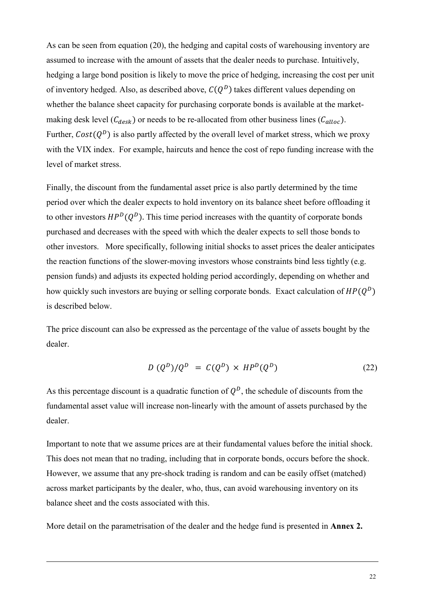As can be seen from equation (20), the hedging and capital costs of warehousing inventory are assumed to increase with the amount of assets that the dealer needs to purchase. Intuitively, hedging a large bond position is likely to move the price of hedging, increasing the cost per unit of inventory hedged. Also, as described above,  $C(Q^D)$  takes different values depending on whether the balance sheet capacity for purchasing corporate bonds is available at the marketmaking desk level  $(C_{desk})$  or needs to be re-allocated from other business lines  $(C_{\alpha lloc})$ . Further,  $Cost(Q^D)$  is also partly affected by the overall level of market stress, which we proxy with the VIX index. For example, haircuts and hence the cost of repo funding increase with the level of market stress.

Finally, the discount from the fundamental asset price is also partly determined by the time period over which the dealer expects to hold inventory on its balance sheet before offloading it to other investors  $HP^{D}(O^{D})$ . This time period increases with the quantity of corporate bonds purchased and decreases with the speed with which the dealer expects to sell those bonds to other investors. More specifically, following initial shocks to asset prices the dealer anticipates the reaction functions of the slower-moving investors whose constraints bind less tightly (e.g. pension funds) and adjusts its expected holding period accordingly, depending on whether and how quickly such investors are buying or selling corporate bonds. Exact calculation of  $HP(Q^D)$ is described below.

The price discount can also be expressed as the percentage of the value of assets bought by the dealer.

$$
D(Q^D)/Q^D = C(Q^D) \times HP^D(Q^D)
$$
 (22)

As this percentage discount is a quadratic function of  $Q^D$ , the schedule of discounts from the fundamental asset value will increase non-linearly with the amount of assets purchased by the dealer.

Important to note that we assume prices are at their fundamental values before the initial shock. This does not mean that no trading, including that in corporate bonds, occurs before the shock. However, we assume that any pre-shock trading is random and can be easily offset (matched) across market participants by the dealer, who, thus, can avoid warehousing inventory on its balance sheet and the costs associated with this.

More detail on the parametrisation of the dealer and the hedge fund is presented in **Annex 2.**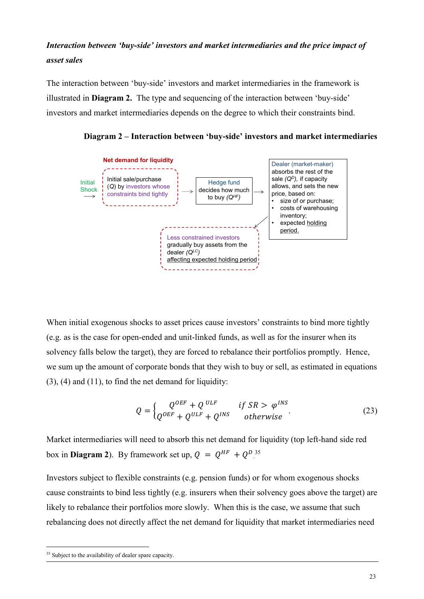# *Interaction between 'buy-side' investors and market intermediaries and the price impact of asset sales*

The interaction between 'buy-side' investors and market intermediaries in the framework is illustrated in **Diagram 2.** The type and sequencing of the interaction between 'buy-side' investors and market intermediaries depends on the degree to which their constraints bind.





When initial exogenous shocks to asset prices cause investors' constraints to bind more tightly (e.g. as is the case for open-ended and unit-linked funds, as well as for the insurer when its solvency falls below the target), they are forced to rebalance their portfolios promptly. Hence, we sum up the amount of corporate bonds that they wish to buy or sell, as estimated in equations  $(3)$ ,  $(4)$  and  $(11)$ , to find the net demand for liquidity:

$$
Q = \begin{cases} Q^{OEF} + Q^{ULF} & \text{if } SR > \varphi^{INS} \\ Q^{OEF} + Q^{ULF} + Q^{INS} & \text{otherwise} \end{cases}
$$
 (23)

Market intermediaries will need to absorb this net demand for liquidity (top left-hand side red box in **Diagram 2**). By framework set up,  $Q = Q^{HF} + Q^{D.35}$  $Q = Q^{HF} + Q^{D.35}$  $Q = Q^{HF} + Q^{D.35}$ 

Investors subject to flexible constraints (e.g. pension funds) or for whom exogenous shocks cause constraints to bind less tightly (e.g. insurers when their solvency goes above the target) are likely to rebalance their portfolios more slowly. When this is the case, we assume that such rebalancing does not directly affect the net demand for liquidity that market intermediaries need

<span id="page-23-0"></span><sup>&</sup>lt;sup>35</sup> Subject to the availability of dealer spare capacity.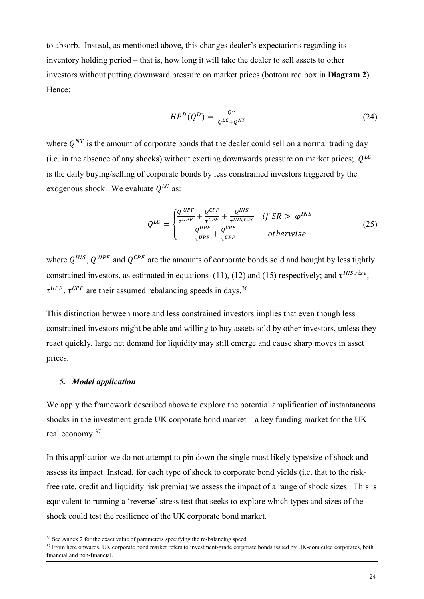to absorb. Instead, as mentioned above, this changes dealer's expectations regarding its inventory holding period – that is, how long it will take the dealer to sell assets to other investors without putting downward pressure on market prices (bottom red box in **Diagram 2**). Hence:

$$
HP^D(Q^D) = \frac{Q^D}{Q^{LC} + Q^{NT}}
$$
\n
$$
\tag{24}
$$

where  $O^{NT}$  is the amount of corporate bonds that the dealer could sell on a normal trading day (i.e. in the absence of any shocks) without exerting downwards pressure on market prices;  $Q^{LC}$ is the daily buying/selling of corporate bonds by less constrained investors triggered by the exogenous shock. We evaluate  $Q^{LC}$  as:

$$
Q^{LC} = \begin{cases} \frac{Q^{UPF}}{\tau^{UPF}} + \frac{Q^{CPF}}{\tau^{CPF}} + \frac{Q^{INS}}{\tau^{INS,rise}} & \text{if } SR > \varphi^{INS} \\ \frac{Q^{UPF}}{\tau^{UPF}} + \frac{Q^{CPF}}{\tau^{CPF}} & \text{otherwise} \end{cases}
$$
(25)

where  $Q^{INS}$ ,  $Q^{UPF}$  and  $Q^{CPF}$  are the amounts of corporate bonds sold and bought by less tightly constrained investors, as estimated in equations (11), (12) and (15) respectively; and  $\tau^{INS, rise}$ ,  $\tau^{UPF}$ ,  $\tau^{CPF}$  are their assumed rebalancing speeds in days.<sup>[36](#page-24-0)</sup>

This distinction between more and less constrained investors implies that even though less constrained investors might be able and willing to buy assets sold by other investors, unless they react quickly, large net demand for liquidity may still emerge and cause sharp moves in asset prices.

# *5. Model application*

We apply the framework described above to explore the potential amplification of instantaneous shocks in the investment-grade UK corporate bond market – a key funding market for the UK real economy.[37](#page-24-1)

In this application we do not attempt to pin down the single most likely type/size of shock and assess its impact. Instead, for each type of shock to corporate bond yields (i.e. that to the riskfree rate, credit and liquidity risk premia) we assess the impact of a range of shock sizes. This is equivalent to running a 'reverse' stress test that seeks to explore which types and sizes of the shock could test the resilience of the UK corporate bond market.

<span id="page-24-1"></span>

<span id="page-24-0"></span> $36$  See Annex 2 for the exact value of parameters specifying the re-balancing speed.<br> $37$  From here onwards, UK corporate bond market refers to investment-grade corporate bonds issued by UK-domiciled corporates, both financial and non-financial.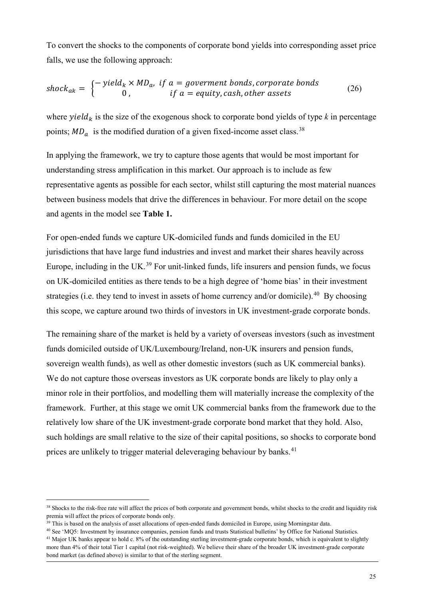To convert the shocks to the components of corporate bond yields into corresponding asset price falls, we use the following approach:

$$
shock_{ak} = \begin{cases} -\text{ yield}_{k} \times MD_{a}, & \text{if } a = government bonds, corporate bonds \\ 0, & \text{if } a = equity, cash, other assets \end{cases} \tag{26}
$$

where  $yield_k$  is the size of the exogenous shock to corporate bond yields of type *k* in percentage points;  $MD_a$  is the modified duration of a given fixed-income asset class.<sup>[38](#page-25-0)</sup>

In applying the framework, we try to capture those agents that would be most important for understanding stress amplification in this market. Our approach is to include as few representative agents as possible for each sector, whilst still capturing the most material nuances between business models that drive the differences in behaviour. For more detail on the scope and agents in the model see **Table 1.**

For open-ended funds we capture UK-domiciled funds and funds domiciled in the EU jurisdictions that have large fund industries and invest and market their shares heavily across Europe, including in the UK.<sup>[39](#page-25-1)</sup> For unit-linked funds, life insurers and pension funds, we focus on UK-domiciled entities as there tends to be a high degree of 'home bias' in their investment strategies (i.e. they tend to invest in assets of home currency and/or domicile).<sup>40</sup> By choosing this scope, we capture around two thirds of investors in UK investment-grade corporate bonds.

The remaining share of the market is held by a variety of overseas investors (such as investment funds domiciled outside of UK/Luxembourg/Ireland, non-UK insurers and pension funds, sovereign wealth funds), as well as other domestic investors (such as UK commercial banks). We do not capture those overseas investors as UK corporate bonds are likely to play only a minor role in their portfolios, and modelling them will materially increase the complexity of the framework. Further, at this stage we omit UK commercial banks from the framework due to the relatively low share of the UK investment-grade corporate bond market that they hold. Also, such holdings are small relative to the size of their capital positions, so shocks to corporate bond prices are unlikely to trigger material deleveraging behaviour by banks.<sup>[41](#page-25-3)</sup>

<span id="page-25-0"></span><sup>&</sup>lt;sup>38</sup> Shocks to the risk-free rate will affect the prices of both corporate and government bonds, whilst shocks to the credit and liquidity risk premia will affect the prices of corporate bonds only.

<span id="page-25-3"></span><span id="page-25-2"></span><span id="page-25-1"></span><sup>&</sup>lt;sup>39</sup> This is based on the analysis of asset allocations of open-ended funds domiciled in Europe, using Morningstar data.<br><sup>40</sup> See 'MQ5: Investment by insurance companies, pension funds and trusts Statistical bulletins' by more than 4% of their total Tier 1 capital (not risk-weighted). We believe their share of the broader UK investment-grade corporate bond market (as defined above) is similar to that of the sterling segment.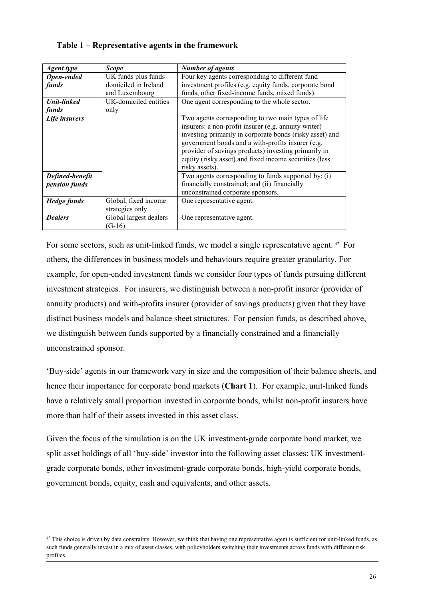| <b>Agent</b> type                | <b>Scope</b>                                                  | <b>Number of agents</b>                                                                                                                                                                                                                                                                                                                                         |
|----------------------------------|---------------------------------------------------------------|-----------------------------------------------------------------------------------------------------------------------------------------------------------------------------------------------------------------------------------------------------------------------------------------------------------------------------------------------------------------|
| Open-ended<br>funds              | UK funds plus funds<br>domiciled in Ireland<br>and Luxembourg | Four key agents corresponding to different fund<br>investment profiles (e.g. equity funds, corporate bond<br>funds, other fixed-income funds, mixed funds).                                                                                                                                                                                                     |
| <b>Unit-linked</b><br>funds      | UK-domiciled entities<br>only                                 | One agent corresponding to the whole sector.                                                                                                                                                                                                                                                                                                                    |
| Life insurers                    |                                                               | Two agents corresponding to two main types of life<br>insurers: a non-profit insurer (e.g. annuity writer)<br>investing primarily in corporate bonds (risky asset) and<br>government bonds and a with-profits insurer (e.g.<br>provider of savings products) investing primarily in<br>equity (risky asset) and fixed income securities (less<br>risky assets). |
| Defined-benefit<br>pension funds |                                                               | Two agents corresponding to funds supported by: (i)<br>financially constrained; and (ii) financially<br>unconstrained corporate sponsors.                                                                                                                                                                                                                       |
| <b>Hedge funds</b>               | Global, fixed income<br>strategies only                       | One representative agent.                                                                                                                                                                                                                                                                                                                                       |
| <b>Dealers</b>                   | Global largest dealers<br>$(G-16)$                            | One representative agent.                                                                                                                                                                                                                                                                                                                                       |

# **Table 1 – Representative agents in the framework**

For some sectors, such as unit-linked funds, we model a single representative agent.<sup>[42](#page-26-0)</sup> For others, the differences in business models and behaviours require greater granularity. For example, for open-ended investment funds we consider four types of funds pursuing different investment strategies. For insurers, we distinguish between a non-profit insurer (provider of annuity products) and with-profits insurer (provider of savings products) given that they have distinct business models and balance sheet structures. For pension funds, as described above, we distinguish between funds supported by a financially constrained and a financially unconstrained sponsor.

'Buy-side' agents in our framework vary in size and the composition of their balance sheets, and hence their importance for corporate bond markets (**Chart 1**). For example, unit-linked funds have a relatively small proportion invested in corporate bonds, whilst non-profit insurers have more than half of their assets invested in this asset class.

Given the focus of the simulation is on the UK investment-grade corporate bond market, we split asset holdings of all 'buy-side' investor into the following asset classes: UK investmentgrade corporate bonds, other investment-grade corporate bonds, high-yield corporate bonds, government bonds, equity, cash and equivalents, and other assets.

<span id="page-26-0"></span> $42$  This choice is driven by data constraints. However, we think that having one representative agent is sufficient for unit-linked funds, as such funds generally invest in a mix of asset classes, with policyholders switching their investments across funds with different risk profiles.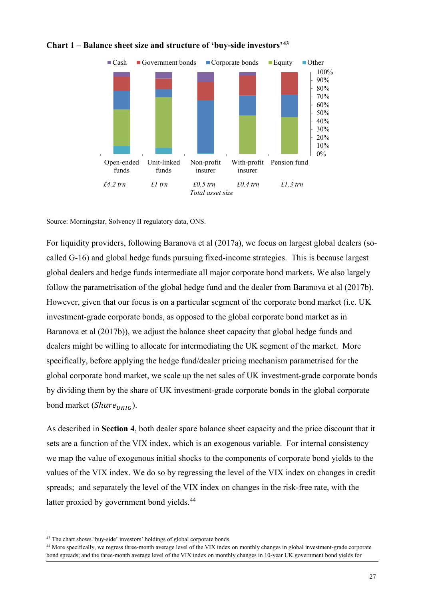

# **Chart 1 – Balance sheet size and structure of 'buy-side investors'[43](#page-27-0)**

Source: Morningstar, Solvency II regulatory data, ONS.

For liquidity providers, following Baranova et al (2017a), we focus on largest global dealers (socalled G-16) and global hedge funds pursuing fixed-income strategies. This is because largest global dealers and hedge funds intermediate all major corporate bond markets. We also largely follow the parametrisation of the global hedge fund and the dealer from Baranova et al (2017b). However, given that our focus is on a particular segment of the corporate bond market (i.e. UK investment-grade corporate bonds, as opposed to the global corporate bond market as in Baranova et al (2017b)), we adjust the balance sheet capacity that global hedge funds and dealers might be willing to allocate for intermediating the UK segment of the market. More specifically, before applying the hedge fund/dealer pricing mechanism parametrised for the global corporate bond market, we scale up the net sales of UK investment-grade corporate bonds by dividing them by the share of UK investment-grade corporate bonds in the global corporate bond market ( $Share_{UKIG}$ ).

As described in **Section 4**, both dealer spare balance sheet capacity and the price discount that it sets are a function of the VIX index, which is an exogenous variable. For internal consistency we map the value of exogenous initial shocks to the components of corporate bond yields to the values of the VIX index. We do so by regressing the level of the VIX index on changes in credit spreads; and separately the level of the VIX index on changes in the risk-free rate, with the latter proxied by government bond yields.<sup>[44](#page-27-1)</sup>

<span id="page-27-1"></span><span id="page-27-0"></span><sup>&</sup>lt;sup>43</sup> The chart shows 'buy-side' investors' holdings of global corporate bonds.<br><sup>44</sup> More specifically, we regress three-month average level of the VIX index on monthly changes in global investment-grade corporate bond spreads; and the three-month average level of the VIX index on monthly changes in 10-year UK government bond yields for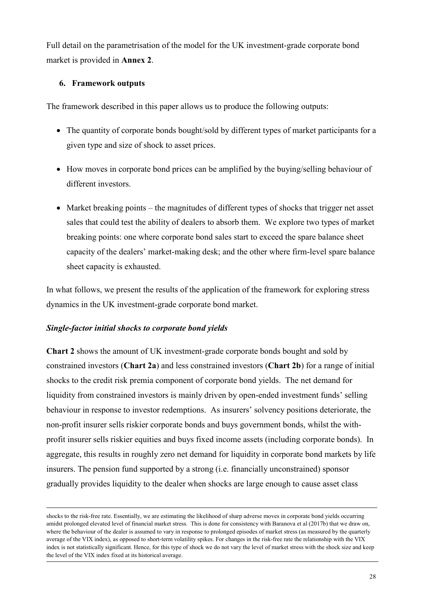Full detail on the parametrisation of the model for the UK investment-grade corporate bond market is provided in **Annex 2**.

# **6. Framework outputs**

The framework described in this paper allows us to produce the following outputs:

- The quantity of corporate bonds bought/sold by different types of market participants for a given type and size of shock to asset prices.
- How moves in corporate bond prices can be amplified by the buying/selling behaviour of different investors.
- Market breaking points the magnitudes of different types of shocks that trigger net asset sales that could test the ability of dealers to absorb them. We explore two types of market breaking points: one where corporate bond sales start to exceed the spare balance sheet capacity of the dealers' market-making desk; and the other where firm-level spare balance sheet capacity is exhausted.

In what follows, we present the results of the application of the framework for exploring stress dynamics in the UK investment-grade corporate bond market.

# *Single-factor initial shocks to corporate bond yields*

**Chart 2** shows the amount of UK investment-grade corporate bonds bought and sold by constrained investors (**Chart 2a**) and less constrained investors (**Chart 2b**) for a range of initial shocks to the credit risk premia component of corporate bond yields. The net demand for liquidity from constrained investors is mainly driven by open-ended investment funds' selling behaviour in response to investor redemptions. As insurers' solvency positions deteriorate, the non-profit insurer sells riskier corporate bonds and buys government bonds, whilst the withprofit insurer sells riskier equities and buys fixed income assets (including corporate bonds). In aggregate, this results in roughly zero net demand for liquidity in corporate bond markets by life insurers. The pension fund supported by a strong (i.e. financially unconstrained) sponsor gradually provides liquidity to the dealer when shocks are large enough to cause asset class

shocks to the risk-free rate. Essentially, we are estimating the likelihood of sharp adverse moves in corporate bond yields occurring amidst prolonged elevated level of financial market stress. This is done for consistency with Baranova et al (2017b) that we draw on, where the behaviour of the dealer is assumed to vary in response to prolonged episodes of market stress (as measured by the quarterly average of the VIX index), as opposed to short-term volatility spikes. For changes in the risk-free rate the relationship with the VIX index is not statistically significant. Hence, for this type of shock we do not vary the level of market stress with the shock size and keep the level of the VIX index fixed at its historical average.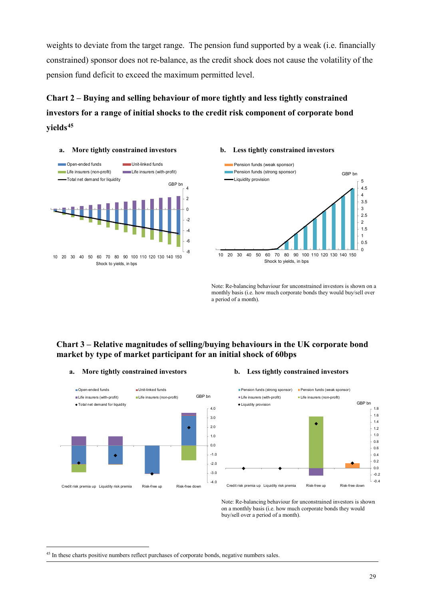weights to deviate from the target range. The pension fund supported by a weak (i.e. financially constrained) sponsor does not re-balance, as the credit shock does not cause the volatility of the pension fund deficit to exceed the maximum permitted level.

**Chart 2 – Buying and selling behaviour of more tightly and less tightly constrained investors for a range of initial shocks to the credit risk component of corporate bond yields[45](#page-29-0)**



**a. More tightly constrained investors b. Less tightly constrained investors**



Note: Re-balancing behaviour for unconstrained investors is shown on a monthly basis (i.e. how much corporate bonds they would buy/sell over a period of a month).

# **Chart 3 – Relative magnitudes of selling/buying behaviours in the UK corporate bond market by type of market participant for an initial shock of 60bps**

### **a. More tightly constrained investors b. Less tightly constrained investors**





Note: Re-balancing behaviour for unconstrained investors is shown on a monthly basis (i.e. how much corporate bonds they would buy/sell over a period of a month).

<span id="page-29-0"></span> <sup>45</sup> In these charts positive numbers reflect purchases of corporate bonds, negative numbers sales.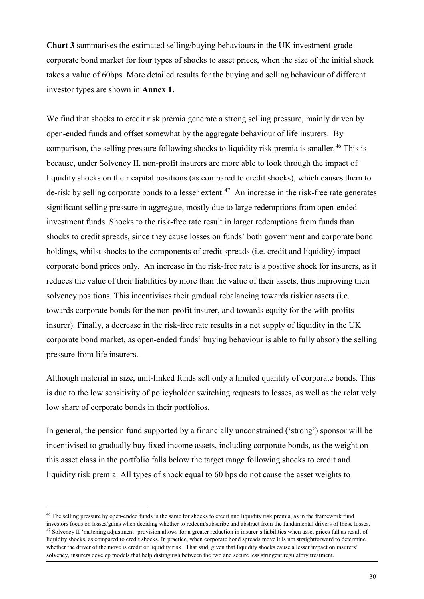**Chart 3** summarises the estimated selling/buying behaviours in the UK investment-grade corporate bond market for four types of shocks to asset prices, when the size of the initial shock takes a value of 60bps. More detailed results for the buying and selling behaviour of different investor types are shown in **Annex 1.**

We find that shocks to credit risk premia generate a strong selling pressure, mainly driven by open-ended funds and offset somewhat by the aggregate behaviour of life insurers. By comparison, the selling pressure following shocks to liquidity risk premia is smaller.<sup>[46](#page-30-0)</sup> This is because, under Solvency II, non-profit insurers are more able to look through the impact of liquidity shocks on their capital positions (as compared to credit shocks), which causes them to de-risk by selling corporate bonds to a lesser extent.<sup>[47](#page-30-1)</sup> An increase in the risk-free rate generates significant selling pressure in aggregate, mostly due to large redemptions from open-ended investment funds. Shocks to the risk-free rate result in larger redemptions from funds than shocks to credit spreads, since they cause losses on funds' both government and corporate bond holdings, whilst shocks to the components of credit spreads (i.e. credit and liquidity) impact corporate bond prices only. An increase in the risk-free rate is a positive shock for insurers, as it reduces the value of their liabilities by more than the value of their assets, thus improving their solvency positions. This incentivises their gradual rebalancing towards riskier assets (i.e. towards corporate bonds for the non-profit insurer, and towards equity for the with-profits insurer). Finally, a decrease in the risk-free rate results in a net supply of liquidity in the UK corporate bond market, as open-ended funds' buying behaviour is able to fully absorb the selling pressure from life insurers.

Although material in size, unit-linked funds sell only a limited quantity of corporate bonds. This is due to the low sensitivity of policyholder switching requests to losses, as well as the relatively low share of corporate bonds in their portfolios.

In general, the pension fund supported by a financially unconstrained ('strong') sponsor will be incentivised to gradually buy fixed income assets, including corporate bonds, as the weight on this asset class in the portfolio falls below the target range following shocks to credit and liquidity risk premia. All types of shock equal to 60 bps do not cause the asset weights to

<span id="page-30-1"></span><span id="page-30-0"></span><sup>&</sup>lt;sup>46</sup> The selling pressure by open-ended funds is the same for shocks to credit and liquidity risk premia, as in the framework fund investors focus on losses/gains when deciding whether to redeem/subscribe and abstract from the fundamental drivers of those losses.<br><sup>47</sup> Solvency II 'matching adjustment' provision allows for a greater reduction in insure liquidity shocks, as compared to credit shocks. In practice, when corporate bond spreads move it is not straightforward to determine whether the driver of the move is credit or liquidity risk. That said, given that liquidity shocks cause a lesser impact on insurers' solvency, insurers develop models that help distinguish between the two and secure less stringent regulatory treatment.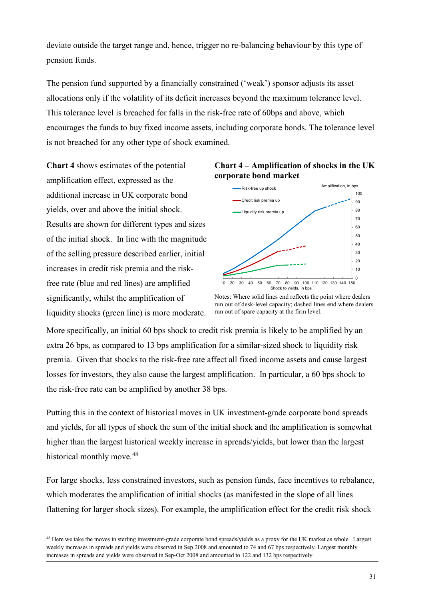deviate outside the target range and, hence, trigger no re-balancing behaviour by this type of pension funds.

The pension fund supported by a financially constrained ('weak') sponsor adjusts its asset allocations only if the volatility of its deficit increases beyond the maximum tolerance level. This tolerance level is breached for falls in the risk-free rate of 60bps and above, which encourages the funds to buy fixed income assets, including corporate bonds. The tolerance level is not breached for any other type of shock examined.

**Chart 4** shows estimates of the potential amplification effect, expressed as the additional increase in UK corporate bond yields, over and above the initial shock. Results are shown for different types and sizes of the initial shock. In line with the magnitude of the selling pressure described earlier, initial increases in credit risk premia and the riskfree rate (blue and red lines) are amplified significantly, whilst the amplification of liquidity shocks (green line) is more moderate.





Notes: Where solid lines end reflects the point where dealers run out of desk-level capacity; dashed lines end where dealers run out of spare capacity at the firm level.

More specifically, an initial 60 bps shock to credit risk premia is likely to be amplified by an extra 26 bps, as compared to 13 bps amplification for a similar-sized shock to liquidity risk premia. Given that shocks to the risk-free rate affect all fixed income assets and cause largest losses for investors, they also cause the largest amplification. In particular, a 60 bps shock to the risk-free rate can be amplified by another 38 bps.

Putting this in the context of historical moves in UK investment-grade corporate bond spreads and yields, for all types of shock the sum of the initial shock and the amplification is somewhat higher than the largest historical weekly increase in spreads/yields, but lower than the largest historical monthly move.<sup>[48](#page-31-0)</sup>

For large shocks, less constrained investors, such as pension funds, face incentives to rebalance, which moderates the amplification of initial shocks (as manifested in the slope of all lines flattening for larger shock sizes). For example, the amplification effect for the credit risk shock

<span id="page-31-0"></span><sup>&</sup>lt;sup>48</sup> Here we take the moves in sterling investment-grade corporate bond spreads/yields as a proxy for the UK market as whole. Largest weekly increases in spreads and yields were observed in Sep 2008 and amounted to 74 and 67 bps respectively. Largest monthly increases in spreads and yields were observed in Sep-Oct 2008 and amounted to 122 and 132 bps respectively.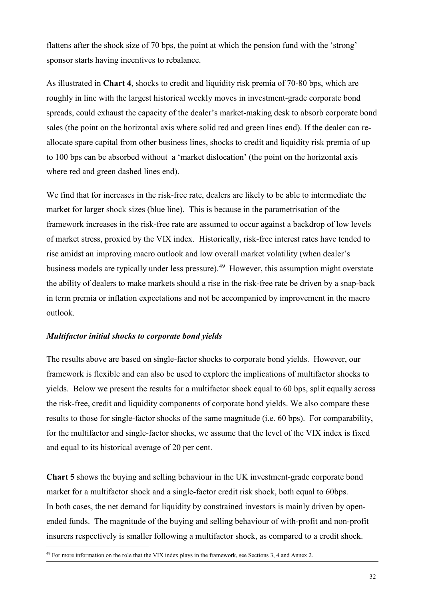flattens after the shock size of 70 bps, the point at which the pension fund with the 'strong' sponsor starts having incentives to rebalance.

As illustrated in **Chart 4**, shocks to credit and liquidity risk premia of 70-80 bps, which are roughly in line with the largest historical weekly moves in investment-grade corporate bond spreads, could exhaust the capacity of the dealer's market-making desk to absorb corporate bond sales (the point on the horizontal axis where solid red and green lines end). If the dealer can reallocate spare capital from other business lines, shocks to credit and liquidity risk premia of up to 100 bps can be absorbed without a 'market dislocation' (the point on the horizontal axis where red and green dashed lines end).

We find that for increases in the risk-free rate, dealers are likely to be able to intermediate the market for larger shock sizes (blue line). This is because in the parametrisation of the framework increases in the risk-free rate are assumed to occur against a backdrop of low levels of market stress, proxied by the VIX index. Historically, risk-free interest rates have tended to rise amidst an improving macro outlook and low overall market volatility (when dealer's business models are typically under less pressure).<sup>[49](#page-32-0)</sup> However, this assumption might overstate the ability of dealers to make markets should a rise in the risk-free rate be driven by a snap-back in term premia or inflation expectations and not be accompanied by improvement in the macro outlook.

# *Multifactor initial shocks to corporate bond yields*

The results above are based on single-factor shocks to corporate bond yields. However, our framework is flexible and can also be used to explore the implications of multifactor shocks to yields. Below we present the results for a multifactor shock equal to 60 bps, split equally across the risk-free, credit and liquidity components of corporate bond yields. We also compare these results to those for single-factor shocks of the same magnitude (i.e. 60 bps). For comparability, for the multifactor and single-factor shocks, we assume that the level of the VIX index is fixed and equal to its historical average of 20 per cent.

**Chart 5** shows the buying and selling behaviour in the UK investment-grade corporate bond market for a multifactor shock and a single-factor credit risk shock, both equal to 60bps. In both cases, the net demand for liquidity by constrained investors is mainly driven by openended funds. The magnitude of the buying and selling behaviour of with-profit and non-profit insurers respectively is smaller following a multifactor shock, as compared to a credit shock.

<span id="page-32-0"></span> <sup>49</sup> For more information on the role that the VIX index plays in the framework, see Sections 3, 4 and Annex 2.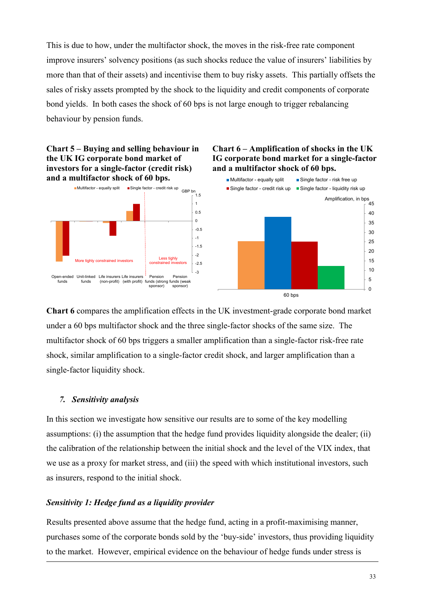This is due to how, under the multifactor shock, the moves in the risk-free rate component improve insurers' solvency positions (as such shocks reduce the value of insurers' liabilities by more than that of their assets) and incentivise them to buy risky assets. This partially offsets the sales of risky assets prompted by the shock to the liquidity and credit components of corporate bond yields. In both cases the shock of 60 bps is not large enough to trigger rebalancing behaviour by pension funds.

# **Chart 5 – Buying and selling behaviour in the UK IG corporate bond market of investors for a single-factor (credit risk) and a multifactor shock of 60 bps.**



# **Chart 6 – Amplification of shocks in the UK IG corporate bond market for a single-factor and a multifactor shock of 60 bps.**



**Chart 6** compares the amplification effects in the UK investment-grade corporate bond market under a 60 bps multifactor shock and the three single-factor shocks of the same size. The multifactor shock of 60 bps triggers a smaller amplification than a single-factor risk-free rate shock, similar amplification to a single-factor credit shock, and larger amplification than a single-factor liquidity shock.

# *7. Sensitivity analysis*

In this section we investigate how sensitive our results are to some of the key modelling assumptions: (i) the assumption that the hedge fund provides liquidity alongside the dealer; (ii) the calibration of the relationship between the initial shock and the level of the VIX index, that we use as a proxy for market stress, and (iii) the speed with which institutional investors, such as insurers, respond to the initial shock.

# *Sensitivity 1: Hedge fund as a liquidity provider*

Results presented above assume that the hedge fund, acting in a profit-maximising manner, purchases some of the corporate bonds sold by the 'buy-side' investors, thus providing liquidity to the market. However, empirical evidence on the behaviour of hedge funds under stress is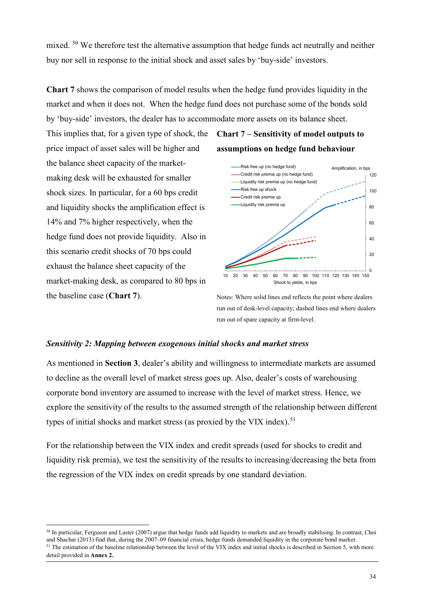mixed. <sup>[50](#page-34-0)</sup> We therefore test the alternative assumption that hedge funds act neutrally and neither buy nor sell in response to the initial shock and asset sales by 'buy-side' investors.

**Chart 7** shows the comparison of model results when the hedge fund provides liquidity in the market and when it does not. When the hedge fund does not purchase some of the bonds sold by 'buy-side' investors, the dealer has to accommodate more assets on its balance sheet.

This implies that, for a given type of shock, the **Chart 7 – Sensitivity of model outputs to**  price impact of asset sales will be higher and the balance sheet capacity of the marketmaking desk will be exhausted for smaller shock sizes. In particular, for a 60 bps credit and liquidity shocks the amplification effect is 14% and 7% higher respectively, when the hedge fund does not provide liquidity. Also in this scenario credit shocks of 70 bps could exhaust the balance sheet capacity of the market-making desk, as compared to 80 bps in the baseline case (**Chart 7**).

**assumptions on hedge fund behaviour**



Notes: Where solid lines end reflects the point where dealers run out of desk-level capacity; dashed lines end where dealers run out of spare capacity at firm-level.

# *Sensitivity 2: Mapping between exogenous initial shocks and market stress*

As mentioned in **Section 3**, dealer's ability and willingness to intermediate markets are assumed to decline as the overall level of market stress goes up. Also, dealer's costs of warehousing corporate bond inventory are assumed to increase with the level of market stress. Hence, we explore the sensitivity of the results to the assumed strength of the relationship between different types of initial shocks and market stress (as proxied by the VIX index).<sup>[51](#page-34-1)</sup>

For the relationship between the VIX index and credit spreads (used for shocks to credit and liquidity risk premia), we test the sensitivity of the results to increasing/decreasing the beta from the regression of the VIX index on credit spreads by one standard deviation.

<span id="page-34-1"></span><span id="page-34-0"></span><sup>&</sup>lt;sup>50</sup> In particular, Ferguson and Laster (2007) argue that hedge funds add liquidity to markets and are broadly stabilising. In contrast, Choi and Shachar (2013) find that, during the 2007–09 financial crisis, hedge funds demanded liquidity in the corporate bond market. <sup>51</sup> The estimation of the baseline relationship between the level of the VIX index and initial shocks is described in Section 5, with more detail provided in **Annex 2.**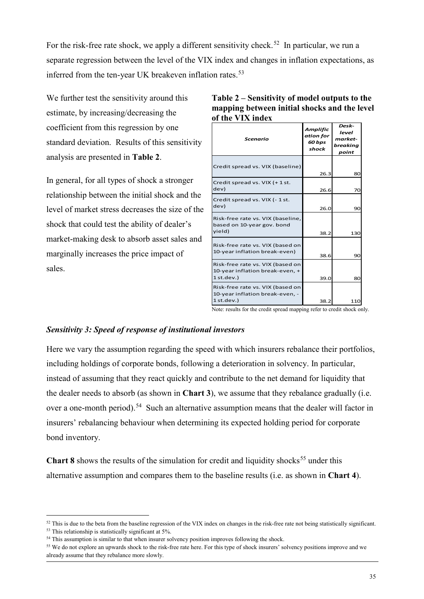For the risk-free rate shock, we apply a different sensitivity check.<sup>52</sup> In particular, we run a separate regression between the level of the VIX index and changes in inflation expectations, as inferred from the ten-year UK breakeven inflation rates.<sup>[53](#page-35-1)</sup>

We further test the sensitivity around this estimate, by increasing/decreasing the coefficient from this regression by one standard deviation. Results of this sensitivity analysis are presented in **Table 2**.

In general, for all types of shock a stronger relationship between the initial shock and the level of market stress decreases the size of the shock that could test the ability of dealer's market-making desk to absorb asset sales and marginally increases the price impact of sales.

| Table 2 – Sensitivity of model outputs to the |
|-----------------------------------------------|
| mapping between initial shocks and the level  |
| of the VIX index                              |

| <b>Scenario</b>                                                                     | <b>Amplific</b><br>ation for<br>60 bps<br>shock | Desk-<br>level<br>market-<br>breaking<br>point |
|-------------------------------------------------------------------------------------|-------------------------------------------------|------------------------------------------------|
| Credit spread vs. VIX (baseline)                                                    | 26.3                                            | 80                                             |
| Credit spread vs. VIX (+ 1 st.<br>dev)                                              | 26.6                                            | 70                                             |
| Credit spread vs. VIX (- 1 st.<br>dev)                                              | 26.0                                            | <b>90</b>                                      |
| Risk-free rate vs. VIX (baseline,<br>based on 10-year gov. bond<br>yield)           | 38.2                                            | 130                                            |
| Risk-free rate vs. VIX (based on<br>10-year inflation break-even)                   | 38.6                                            | 90                                             |
| Risk-free rate vs. VIX (based on<br>10-year inflation break-even, +<br>$1$ st.dev.) | 39.0                                            | 80                                             |
| Risk-free rate vs. VIX (based on<br>10-year inflation break-even, -<br>$1$ st.dev.) | 38.2                                            | 110                                            |

Note: results for the credit spread mapping refer to credit shock only.

# *Sensitivity 3: Speed of response of institutional investors*

Here we vary the assumption regarding the speed with which insurers rebalance their portfolios, including holdings of corporate bonds, following a deterioration in solvency. In particular, instead of assuming that they react quickly and contribute to the net demand for liquidity that the dealer needs to absorb (as shown in **Chart 3**), we assume that they rebalance gradually (i.e. over a one-month period).<sup>[54](#page-35-2)</sup> Such an alternative assumption means that the dealer will factor in insurers' rebalancing behaviour when determining its expected holding period for corporate bond inventory.

**Chart 8** shows the results of the simulation for credit and liquidity shocks<sup>[55](#page-35-3)</sup> under this alternative assumption and compares them to the baseline results (i.e. as shown in **Chart 4**).

<span id="page-35-0"></span> $52$  This is due to the beta from the baseline regression of the VIX index on changes in the risk-free rate not being statistically significant.<br> $53$  This relationship is statistically significant at 5%.

<span id="page-35-1"></span>

<span id="page-35-2"></span> $54$  This assumption is similar to that when insurer solvency position improves following the shock.

<span id="page-35-3"></span><sup>&</sup>lt;sup>55</sup> We do not explore an upwards shock to the risk-free rate here. For this type of shock insurers' solvency positions improve and we already assume that they rebalance more slowly.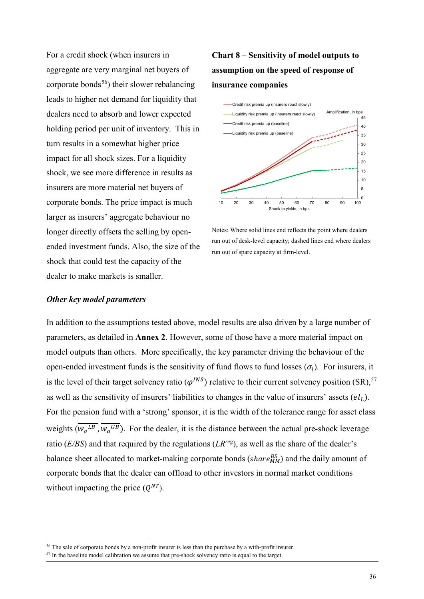For a credit shock (when insurers in aggregate are very marginal net buyers of corporate bonds<sup>56</sup>) their slower rebalancing leads to higher net demand for liquidity that dealers need to absorb and lower expected holding period per unit of inventory. This in turn results in a somewhat higher price impact for all shock sizes. For a liquidity shock, we see more difference in results as insurers are more material net buyers of corporate bonds. The price impact is much larger as insurers' aggregate behaviour no longer directly offsets the selling by openended investment funds. Also, the size of the shock that could test the capacity of the dealer to make markets is smaller.

# **Chart 8 – Sensitivity of model outputs to assumption on the speed of response of insurance companies**



Notes: Where solid lines end reflects the point where dealers run out of desk-level capacity; dashed lines end where dealers run out of spare capacity at firm-level.

### *Other key model parameters*

In addition to the assumptions tested above, model results are also driven by a large number of parameters, as detailed in **Annex 2**. However, some of those have a more material impact on model outputs than others. More specifically, the key parameter driving the behaviour of the open-ended investment funds is the sensitivity of fund flows to fund losses  $(\sigma_i)$ . For insurers, it is the level of their target solvency ratio ( $\varphi^{INS}$ ) relative to their current solvency position (SR),<sup>[57](#page-36-1)</sup> as well as the sensitivity of insurers' liabilities to changes in the value of insurers' assets  $\left( el_{L}\right)$ . For the pension fund with a 'strong' sponsor, it is the width of the tolerance range for asset class weights  $(w_a^{LB}, w_a^{UB})$ . For the dealer, it is the distance between the actual pre-shock leverage ratio (*E/BS*) and that required by the regulations (*LRreg*), as well as the share of the dealer's balance sheet allocated to market-making corporate bonds ( $share_{MM}^{BS}$ ) and the daily amount of corporate bonds that the dealer can offload to other investors in normal market conditions without impacting the price  $(Q^{NT})$ .

<span id="page-36-0"></span><sup>&</sup>lt;sup>56</sup> The sale of corporate bonds by a non-profit insurer is less than the purchase by a with-profit insurer.  $57$  In the baseline model calibration we assume that pre-shock solvency ratio is equal to the target.

<span id="page-36-1"></span>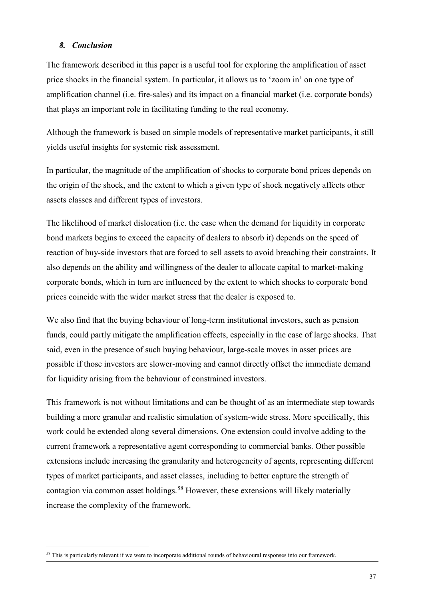# *8. Conclusion*

The framework described in this paper is a useful tool for exploring the amplification of asset price shocks in the financial system. In particular, it allows us to 'zoom in' on one type of amplification channel (i.e. fire-sales) and its impact on a financial market (i.e. corporate bonds) that plays an important role in facilitating funding to the real economy.

Although the framework is based on simple models of representative market participants, it still yields useful insights for systemic risk assessment.

In particular, the magnitude of the amplification of shocks to corporate bond prices depends on the origin of the shock, and the extent to which a given type of shock negatively affects other assets classes and different types of investors.

The likelihood of market dislocation (i.e. the case when the demand for liquidity in corporate bond markets begins to exceed the capacity of dealers to absorb it) depends on the speed of reaction of buy-side investors that are forced to sell assets to avoid breaching their constraints. It also depends on the ability and willingness of the dealer to allocate capital to market-making corporate bonds, which in turn are influenced by the extent to which shocks to corporate bond prices coincide with the wider market stress that the dealer is exposed to.

We also find that the buying behaviour of long-term institutional investors, such as pension funds, could partly mitigate the amplification effects, especially in the case of large shocks. That said, even in the presence of such buying behaviour, large-scale moves in asset prices are possible if those investors are slower-moving and cannot directly offset the immediate demand for liquidity arising from the behaviour of constrained investors.

This framework is not without limitations and can be thought of as an intermediate step towards building a more granular and realistic simulation of system-wide stress. More specifically, this work could be extended along several dimensions. One extension could involve adding to the current framework a representative agent corresponding to commercial banks. Other possible extensions include increasing the granularity and heterogeneity of agents, representing different types of market participants, and asset classes, including to better capture the strength of contagion via common asset holdings.<sup>[58](#page-37-0)</sup> However, these extensions will likely materially increase the complexity of the framework.

<span id="page-37-0"></span><sup>&</sup>lt;sup>58</sup> This is particularly relevant if we were to incorporate additional rounds of behavioural responses into our framework.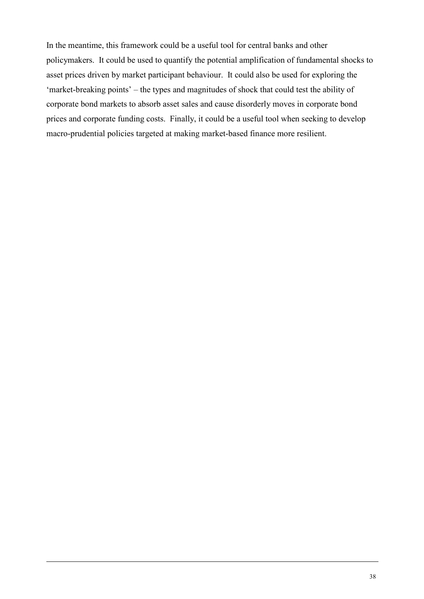In the meantime, this framework could be a useful tool for central banks and other policymakers. It could be used to quantify the potential amplification of fundamental shocks to asset prices driven by market participant behaviour. It could also be used for exploring the 'market-breaking points' – the types and magnitudes of shock that could test the ability of corporate bond markets to absorb asset sales and cause disorderly moves in corporate bond prices and corporate funding costs. Finally, it could be a useful tool when seeking to develop macro-prudential policies targeted at making market-based finance more resilient.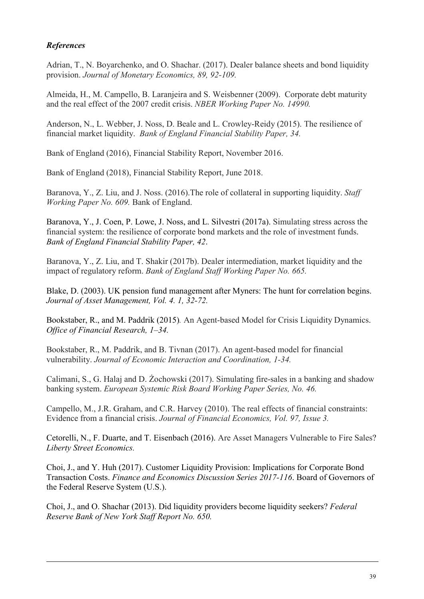# *References*

Adrian, T., N. Boyarchenko, and O. Shachar. (2017). Dealer balance sheets and bond liquidity provision. *Journal of Monetary Economics, 89, 92-109.*

Almeida, H., M. Campello, B. Laranjeira and S. Weisbenner (2009). Corporate debt maturity and the real effect of the 2007 credit crisis. *NBER Working Paper No. 14990.* 

Anderson, N., L. Webber, J. Noss, D. Beale and L. Crowley-Reidy (2015). The resilience of financial market liquidity. *Bank of England Financial Stability Paper, 34.*

Bank of England (2016), Financial Stability Report, November 2016.

Bank of England (2018), Financial Stability Report, June 2018.

Baranova, Y., Z. Liu, and J. Noss. (2016).The role of collateral in supporting liquidity. *Staff Working Paper No. 609.* Bank of England.

Baranova, Y., J. Coen, P. Lowe, J. Noss, and L. Silvestri (2017a). Simulating stress across the financial system: the resilience of corporate bond markets and the role of investment funds. *Bank of England Financial Stability Paper, 42*.

Baranova, Y., Z. Liu, and T. Shakir (2017b). Dealer intermediation, market liquidity and the impact of regulatory reform. *Bank of England Staff Working Paper No. 665.* 

Blake, D. (2003). UK pension fund management after Myners: The hunt for correlation begins. *Journal of Asset Management, Vol. 4. 1, 32-72.*

Bookstaber, R., and M. Paddrik (2015)*.* An Agent-based Model for Crisis Liquidity Dynamics. *Office of Financial Research, 1–34.*

Bookstaber, R., M. Paddrik, and B. Tivnan (2017). An agent-based model for financial vulnerability. *Journal of Economic Interaction and Coordination, 1-34.*

Calimani, S., G. Halaj and D. Żochowski (2017). Simulating fire-sales in a banking and shadow banking system. *European Systemic Risk Board Working Paper Series, No. 46.*

Campello, M., J.R. Graham, and C.R. Harvey (2010). The real effects of financial constraints: Evidence from a financial crisis. *Journal of Financial Economics, Vol. 97, Issue 3.*

Cetorelli, N., F. Duarte, and T. Eisenbach (2016). Are Asset Managers Vulnerable to Fire Sales? *Liberty Street Economics.*

Choi, J., and Y. Huh (2017). [Customer Liquidity Provision: Implications for Corporate Bond](https://ideas.repec.org/p/fip/fedgfe/2017-116.html)  [Transaction Costs.](https://ideas.repec.org/p/fip/fedgfe/2017-116.html) *[Finance and Economics Discussion Series](https://ideas.repec.org/s/fip/fedgfe.html) 2017-116*. Board of Governors of the Federal Reserve System (U.S.).

Choi, J., and O. Shachar (2013). Did liquidity providers become liquidity seekers? *Federal Reserve Bank of New York Staff Report No. 650.*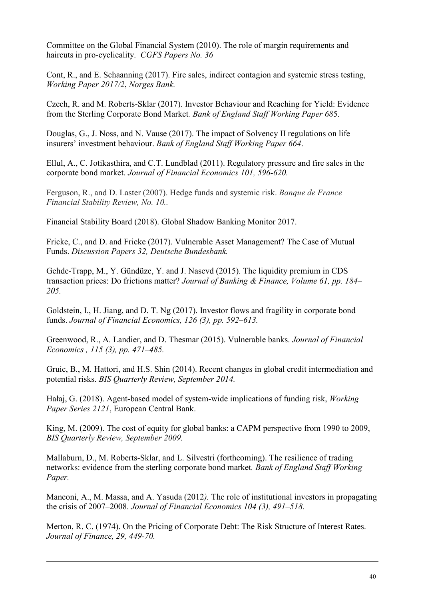Committee on the Global Financial System (2010). The role of margin requirements and haircuts in pro-cyclicality. *CGFS Papers No. 36*

Cont, R., and E. Schaanning (2017). Fire sales, indirect contagion and systemic stress testing, *Working Paper 2017/2*, *Norges Bank.*

Czech, R. and M. Roberts-Sklar (2017). Investor Behaviour and Reaching for Yield: Evidence from the Sterling Corporate Bond Market*. Bank of England Staff Working Paper 68*5.

Douglas, G., J. Noss, and N. Vause (2017). The impact of Solvency II regulations on life insurers' investment behaviour. *Bank of England Staff Working Paper 664*.

Ellul, A., C. Jotikasthira, and C.T. Lundblad (2011). Regulatory pressure and fire sales in the corporate bond market. *Journal of Financial Economics 101, 596-620.*

Ferguson, R., and D. Laster (2007). Hedge funds and systemic risk. *Banque de France Financial Stability Review, No. 10..* 

Financial Stability Board (2018). Global Shadow Banking Monitor 2017.

Fricke, C., and D. and Fricke (2017). Vulnerable Asset Management? The Case of Mutual Funds. *[Discussion Papers](https://ideas.repec.org/s/zbw/bubdps.html) 32, Deutsche Bundesbank.*

Gehde-Trapp, M., Y. Gündüzc, Y. and J. Nasevd (2015). The liquidity premium in CDS transaction prices: Do frictions matter? *Journal of Banking & Finance, Volume 61, pp. 184– 205.*

Goldstein, I., H. Jiang, and D. T. Ng (2017). Investor flows and fragility in corporate bond funds. *Journal of Financial Economics, 126 (3), pp. 592–613.*

Greenwood, R., A. Landier, and D. Thesmar (2015). Vulnerable banks. *Journal of Financial Economics , 115 (3), pp. 471–485.*

Gruic, B., M. Hattori, and H.S. Shin (2014). Recent changes in global credit intermediation and potential risks. *BIS Quarterly Review, September 2014.* 

Hałaj, G. (2018). [Agent-based model of system-wide implications of funding risk,](https://ideas.repec.org/p/ecb/ecbwps/20182121.html) *[Working](https://ideas.repec.org/s/ecb/ecbwps.html)  [Paper Series](https://ideas.repec.org/s/ecb/ecbwps.html) 2121*, European Central Bank.

King, M. (2009). The cost of equity for global banks: a CAPM perspective from 1990 to 2009, *BIS Quarterly Review, September 2009.*

Mallaburn, D., M. Roberts-Sklar, and L. Silvestri (forthcoming). The resilience of trading networks: evidence from the sterling corporate bond market*. Bank of England Staff Working Paper.* 

Manconi, A., M. Massa, and A. Yasuda (2012*).* The role of institutional investors in propagating the crisis of 2007–2008. *Journal of Financial Economics 104 (3), 491–518.*

Merton, R. C. (1974). On the Pricing of Corporate Debt: The Risk Structure of Interest Rates. *Journal of Finance, 29, 449-70.*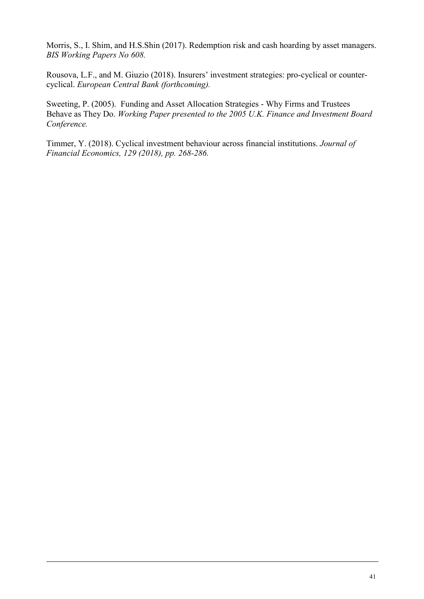Morris, S., I. Shim, and H.S.Shin (2017). Redemption risk and cash hoarding by asset managers. *BIS Working Papers No 608.*

Rousova, L.F., and M. Giuzio (2018). Insurers' investment strategies: pro-cyclical or countercyclical. *European Central Bank (forthcoming).* 

Sweeting, P. (2005). Funding and Asset Allocation Strategies - Why Firms and Trustees Behave as They Do. *Working Paper presented to the 2005 U.K. Finance and Investment Board Conference.*

Timmer, Y. (2018). Cyclical investment behaviour across financial institutions. *Journal of Financial Economics, 129 (2018), pp. 268-286.*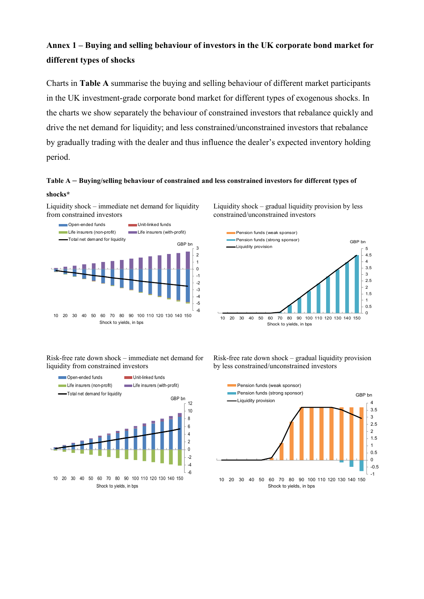# **Annex 1 – Buying and selling behaviour of investors in the UK corporate bond market for different types of shocks**

Charts in **Table A** summarise the buying and selling behaviour of different market participants in the UK investment-grade corporate bond market for different types of exogenous shocks. In the charts we show separately the behaviour of constrained investors that rebalance quickly and drive the net demand for liquidity; and less constrained/unconstrained investors that rebalance by gradually trading with the dealer and thus influence the dealer's expected inventory holding period.

# **Table A – Buying/selling behaviour of constrained and less constrained investors for different types of shocks\***

Liquidity shock – immediate net demand for liquidity from constrained investors



Liquidity shock – gradual liquidity provision by less constrained/unconstrained investors



Risk-free rate down shock – immediate net demand for liquidity from constrained investors



Risk-free rate down shock – gradual liquidity provision by less constrained/unconstrained investors

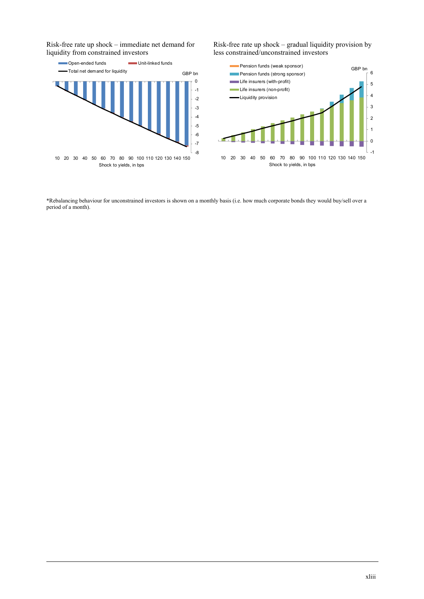Risk-free rate up shock – immediate net demand for liquidity from constrained investors



Risk-free rate up shock – gradual liquidity provision by less constrained/unconstrained investors



\*Rebalancing behaviour for unconstrained investors is shown on a monthly basis (i.e. how much corporate bonds they would buy/sell over a period of a month).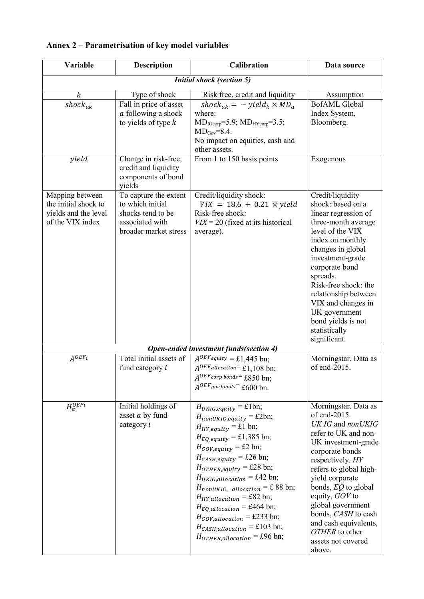| Variable                                                                            | <b>Description</b>                                                                                         | <b>Calibration</b>                                                                                                                                                                                                                                                                                                                                                                                                                                                                                                                                                                              | Data source                                                                                                                                                                                                                                                                                                                                                    |  |  |
|-------------------------------------------------------------------------------------|------------------------------------------------------------------------------------------------------------|-------------------------------------------------------------------------------------------------------------------------------------------------------------------------------------------------------------------------------------------------------------------------------------------------------------------------------------------------------------------------------------------------------------------------------------------------------------------------------------------------------------------------------------------------------------------------------------------------|----------------------------------------------------------------------------------------------------------------------------------------------------------------------------------------------------------------------------------------------------------------------------------------------------------------------------------------------------------------|--|--|
|                                                                                     | <b>Initial shock (section 5)</b>                                                                           |                                                                                                                                                                                                                                                                                                                                                                                                                                                                                                                                                                                                 |                                                                                                                                                                                                                                                                                                                                                                |  |  |
| $\boldsymbol{k}$<br>$shock_{ak}$                                                    | Type of shock<br>Fall in price of asset<br>a following a shock<br>to yields of type $k$                    | Risk free, credit and liquidity<br>$shock_{ak} = - yield_k \times MD_a$<br>where:<br>$MD_{IGcorp} = 5.9; MD_{HYcorp} = 3.5;$<br>$MD_{Gov} = 8.4$ .<br>No impact on equities, cash and<br>other assets.                                                                                                                                                                                                                                                                                                                                                                                          | Assumption<br><b>BofAML</b> Global<br>Index System,<br>Bloomberg.                                                                                                                                                                                                                                                                                              |  |  |
| yield                                                                               | Change in risk-free,<br>credit and liquidity<br>components of bond<br>yields                               | From 1 to 150 basis points                                                                                                                                                                                                                                                                                                                                                                                                                                                                                                                                                                      | Exogenous                                                                                                                                                                                                                                                                                                                                                      |  |  |
| Mapping between<br>the initial shock to<br>yields and the level<br>of the VIX index | To capture the extent<br>to which initial<br>shocks tend to be<br>associated with<br>broader market stress | Credit/liquidity shock:<br>$VIX = 18.6 + 0.21 \times yield$<br>Risk-free shock:<br>$VIX = 20$ (fixed at its historical<br>average).                                                                                                                                                                                                                                                                                                                                                                                                                                                             | Credit/liquidity<br>shock: based on a<br>linear regression of<br>three-month average<br>level of the VIX<br>index on monthly<br>changes in global<br>investment-grade<br>corporate bond<br>spreads.<br>Risk-free shock: the<br>relationship between<br>VIX and changes in<br>UK government<br>bond yields is not<br>statistically<br>significant.              |  |  |
|                                                                                     |                                                                                                            | Open-ended investment funds(section 4)                                                                                                                                                                                                                                                                                                                                                                                                                                                                                                                                                          |                                                                                                                                                                                                                                                                                                                                                                |  |  |
| $A^{OEF_i}$                                                                         | Total initial assets of<br>fund category i                                                                 | $A^{OEF}$ equity = £1,445 bn;<br>$A^{OEF_{allocation}}$ £1,108 bn;<br>$A^{OEF}$ corp bonds <sup>=</sup> £850 bn;<br>$A^{OEF}$ gov bonds <sup>=</sup> £600 bn.                                                                                                                                                                                                                                                                                                                                                                                                                                   | Morningstar. Data as<br>of end-2015.                                                                                                                                                                                                                                                                                                                           |  |  |
| $H_a^{OEFi}$                                                                        | Initial holdings of<br>asset a by fund<br>category i                                                       | $H_{UKIG, equality} = \pounds 1 \text{bn};$<br>$H_{nonUKIG, equality} = \pounds 2bn;$<br>$H_{HY, equality} = \pounds1$ bn;<br>$H_{EQ, equity} = \pounds1,385$ bn;<br>$H_{GOV, equity} = \pounds2$ bn;<br>$H_{CASH, equity}$ = £26 bn;<br>$H_{OTHER, equity} = \pounds 28$ bn;<br>$H_{UKIG, allocation} = \pounds 42$ bn;<br>$H_{nonUKIG, allocation} = \pounds 88$ bn;<br>$H_{HY, allocation} = \pounds82$ bn;<br>$H_{EQ, allocation} = \pounds464$ bn;<br>$H_{GOV,allocation} = \pounds233 \text{ bn};$<br>$H_{CASH, allocation} = \pounds103$ bn;<br>$H_{OTHER, allocation} = \pounds 96$ bn; | Morningstar. Data as<br>of end-2015.<br>UK IG and nonUKIG<br>refer to UK and non-<br>UK investment-grade<br>corporate bonds<br>respectively. HY<br>refers to global high-<br>yield corporate<br>bonds, $EQ$ to global<br>equity, GOV to<br>global government<br>bonds, CASH to cash<br>and cash equivalents,<br>OTHER to other<br>assets not covered<br>above. |  |  |

# **Annex 2 – Parametrisation of key model variables**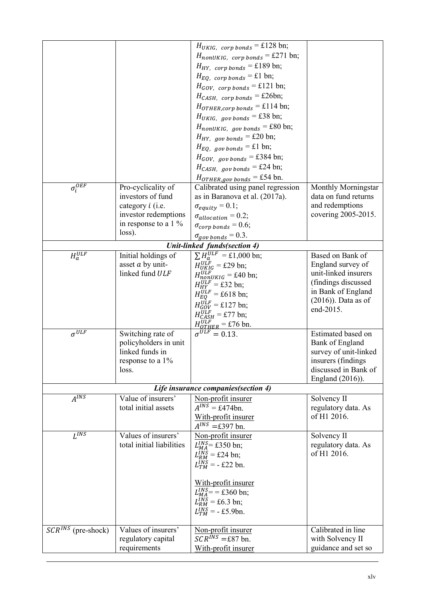|                           | Pro-cyclicality of                                                                         | $H_{UKIG, \text{corp bonds}} = \pounds128 \text{ bn};$<br>$H_{nonUKIG, \text{corp bonds}} = \pounds 271 \text{ bn};$<br>$H_{HY,corp\,bonds} = \pounds189$ bn;<br>$H_{EQ,corp\,bonds} = \pounds1 \text{ bn};$<br>$H_{GOV, \text{corp bonds}} = \pounds 121 \text{ bn};$<br>$H_{CASH, \text{corp bonds}} = \pounds 26 \text{bn};$<br>$H_{OTHER, comp\ bonds} = \pounds114 \text{ bn};$<br>$H_{UKIG, gov bonds} = \pounds 38 \text{ bn};$<br>$H_{nonUKIG, gov bonds} = \pounds 80$ bn;<br>$H_{HY, gov bonds} = \pounds 20$ bn;<br>$H_{EQ, gov bonds} = \pounds1 \text{ bn};$<br>$H_{GOV, gov bonds} = \pounds 384 \text{ bn};$<br>$H_{CASH, gov bonds} = \pounds 24 \text{ bn};$<br>$H_{OTHER, gov bonds} = \pounds 54$ bn.<br>Calibrated using panel regression | <b>Monthly Morningstar</b>                                                                                                                        |
|---------------------------|--------------------------------------------------------------------------------------------|---------------------------------------------------------------------------------------------------------------------------------------------------------------------------------------------------------------------------------------------------------------------------------------------------------------------------------------------------------------------------------------------------------------------------------------------------------------------------------------------------------------------------------------------------------------------------------------------------------------------------------------------------------------------------------------------------------------------------------------------------------------|---------------------------------------------------------------------------------------------------------------------------------------------------|
| $\sigma_i^{OEF}$          | investors of fund                                                                          |                                                                                                                                                                                                                                                                                                                                                                                                                                                                                                                                                                                                                                                                                                                                                               |                                                                                                                                                   |
|                           | category <i>i</i> (i.e.                                                                    | as in Baranova et al. (2017a).                                                                                                                                                                                                                                                                                                                                                                                                                                                                                                                                                                                                                                                                                                                                | data on fund returns<br>and redemptions                                                                                                           |
|                           | investor redemptions                                                                       | $\sigma_{equity} = 0.1;$                                                                                                                                                                                                                                                                                                                                                                                                                                                                                                                                                                                                                                                                                                                                      | covering 2005-2015.                                                                                                                               |
|                           | in response to a $1\%$                                                                     | $\sigma_{allocation} = 0.2;$                                                                                                                                                                                                                                                                                                                                                                                                                                                                                                                                                                                                                                                                                                                                  |                                                                                                                                                   |
|                           | loss).                                                                                     | $\sigma_{corp\,bonds}=0.6;$                                                                                                                                                                                                                                                                                                                                                                                                                                                                                                                                                                                                                                                                                                                                   |                                                                                                                                                   |
|                           |                                                                                            | $\sigma_{\text{gov bonds}} = 0.3.$                                                                                                                                                                                                                                                                                                                                                                                                                                                                                                                                                                                                                                                                                                                            |                                                                                                                                                   |
|                           |                                                                                            | Unit-linked funds(section 4)                                                                                                                                                                                                                                                                                                                                                                                                                                                                                                                                                                                                                                                                                                                                  |                                                                                                                                                   |
| $H_a^{ULF}$               | Initial holdings of<br>asset a by unit-<br>linked fund ULF                                 | $\sum H_a^{ULF} = \pounds 1,000$ bn;<br>$H_{UKIG}^{ULF}$ = £29 bn;<br>$H_{nonUKIG}^{ULF}$ = £40 bn;<br>$H_{HY}^{ULF}$ = £32 bn;<br>$H_{EQ}^{ULF}$ = £618 bn;<br>$H_{GOV}^{ULF}$ = £127 bn;<br>$H_{CASH}^{ULF}$ = £77 bn;<br>$H_{OTHER}^{ULF} = \pounds 76$ bn.                                                                                                                                                                                                                                                                                                                                                                                                                                                                                                | Based on Bank of<br>England survey of<br>unit-linked insurers<br>(findings discussed<br>in Bank of England<br>$(2016)$ ). Data as of<br>end-2015. |
| $\sigma^{\overline{ULF}}$ | Switching rate of<br>policyholders in unit<br>linked funds in<br>response to a 1%<br>loss. | $\sigma^{ULF} = 0.13$ .<br>Life insurance companies (section 4)                                                                                                                                                                                                                                                                                                                                                                                                                                                                                                                                                                                                                                                                                               | Estimated based on<br>Bank of England<br>survey of unit-linked<br>insurers (findings)<br>discussed in Bank of<br>England (2016)).                 |
| $A^{INS}$                 | Value of insurers'                                                                         | Non-profit insurer                                                                                                                                                                                                                                                                                                                                                                                                                                                                                                                                                                                                                                                                                                                                            | Solvency II                                                                                                                                       |
|                           | total initial assets                                                                       | $A^{INS}$ = £474bn.<br>With-profit insurer<br>$A^{INS}$ =£397 bn.                                                                                                                                                                                                                                                                                                                                                                                                                                                                                                                                                                                                                                                                                             | regulatory data. As<br>of H1 2016.                                                                                                                |
| $Ii$ INS                  | Values of insurers'<br>total initial liabilities                                           | Non-profit insurer<br>$L_{MA}^{INS}$ = £350 bn;<br>$L_{RM}^{INS}$ = £24 bn;<br>$L_{TM}^{INS} = -\pounds 22$ bn.<br>With-profit insurer<br>$L_{MA}^{INS}$ = = £360 bn;<br>$L_{RM}^{INS} = \pounds6.3 \text{ bn};$<br>$L_{TM}^{INS}$ = - £5.9bn.                                                                                                                                                                                                                                                                                                                                                                                                                                                                                                                | Solvency II<br>regulatory data. As<br>of H1 2016.                                                                                                 |
| $SCR^{INS}$ (pre-shock)   | Values of insurers'                                                                        | Non-profit insurer                                                                                                                                                                                                                                                                                                                                                                                                                                                                                                                                                                                                                                                                                                                                            | Calibrated in line                                                                                                                                |
|                           | regulatory capital                                                                         | $\mathcal{S} C R^{\hat{I} N S} = \pounds 87$ bn.                                                                                                                                                                                                                                                                                                                                                                                                                                                                                                                                                                                                                                                                                                              | with Solvency II                                                                                                                                  |
|                           | requirements                                                                               | With-profit insurer                                                                                                                                                                                                                                                                                                                                                                                                                                                                                                                                                                                                                                                                                                                                           | guidance and set so                                                                                                                               |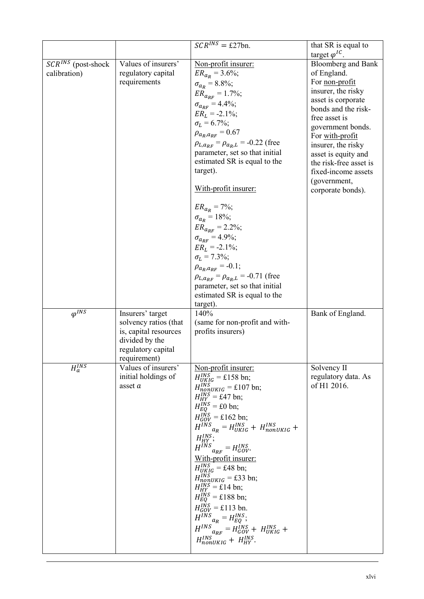|                                                         |                       | $SCR^{INS} = \pounds 27bn.$                            | that SR is equal to       |
|---------------------------------------------------------|-----------------------|--------------------------------------------------------|---------------------------|
|                                                         |                       |                                                        | target $\varphi^{IC}$ .   |
| $\mathcal{S} \mathcal{C} \mathcal{R}^{INS}$ (post-shock | Values of insurers'   | Non-profit insurer:                                    | <b>Bloomberg</b> and Bank |
| calibration)                                            | regulatory capital    | $ER_{a_R} = 3.6\%;$                                    | of England.               |
|                                                         | requirements          |                                                        | For non-profit            |
|                                                         |                       | $\sigma_{a_R} = 8.8\%;$                                | insurer, the risky        |
|                                                         |                       | $ER_{a_{RF}} = 1.7\%;$                                 | asset is corporate        |
|                                                         |                       | $\sigma_{a_{RF}} = 4.4\%;$                             | bonds and the risk-       |
|                                                         |                       | $ER_L = -2.1\%;$                                       | free asset is             |
|                                                         |                       | $\sigma_L = 6.7\%;$                                    |                           |
|                                                         |                       | $\rho_{a_R,a_{RF}} = 0.67$                             | government bonds.         |
|                                                         |                       | $\rho_{L,a_{RF}} = \rho_{a_R,L} = -0.22$ (free         | For with-profit           |
|                                                         |                       | parameter, set so that initial                         | insurer, the risky        |
|                                                         |                       | estimated SR is equal to the                           | asset is equity and       |
|                                                         |                       | target).                                               | the risk-free asset is    |
|                                                         |                       |                                                        | fixed-income assets       |
|                                                         |                       | With-profit insurer:                                   | (government,              |
|                                                         |                       |                                                        | corporate bonds).         |
|                                                         |                       |                                                        |                           |
|                                                         |                       | $ER_{a_R} = 7\%;$                                      |                           |
|                                                         |                       | $\sigma_{a_R} = 18\%;$                                 |                           |
|                                                         |                       | $ER_{a_{RF}} = 2.2\%;$                                 |                           |
|                                                         |                       | $\sigma_{a_{RF}} = 4.9\%;$                             |                           |
|                                                         |                       | $ER_L = -2.1\%;$                                       |                           |
|                                                         |                       | $\sigma_L = 7.3\%;$                                    |                           |
|                                                         |                       | $\rho_{a_R,a_{RF}}=-0.1;$                              |                           |
|                                                         |                       | $\rho_{L,a_{RF}} = \rho_{a_R,L} = -0.71$ (free         |                           |
|                                                         |                       | parameter, set so that initial                         |                           |
|                                                         |                       | estimated SR is equal to the                           |                           |
|                                                         |                       | target).                                               |                           |
| $\varphi^{I\overline{NS}}$                              | Insurers' target      | 140%                                                   | Bank of England.          |
|                                                         | solvency ratios (that | (same for non-profit and with-                         |                           |
|                                                         | is, capital resources | profits insurers)                                      |                           |
|                                                         | divided by the        |                                                        |                           |
|                                                         | regulatory capital    |                                                        |                           |
|                                                         | requirement)          |                                                        |                           |
| $H_a^{INS}$                                             | Values of insurers'   | Non-profit insurer:                                    | Solvency II               |
|                                                         | initial holdings of   |                                                        | regulatory data. As       |
|                                                         | asset $a$             | $H_{UKIG}^{INS}$ = £158 bn;                            | of H1 2016.               |
|                                                         |                       | $H_{nonUKIG}^{INS} = \pounds 107$ bn;                  |                           |
|                                                         |                       | $H_{HY}^{INS}$ = £47 bn;                               |                           |
|                                                         |                       | $H_{EQ}^{INS} = \pounds 0$ bn;                         |                           |
|                                                         |                       | $H_{GOV}^{INS}$ = £162 bn;                             |                           |
|                                                         |                       | $H^{INS}_{a_R} = H_{UKIG}^{INS} + H_{nonUKIG}^{INS} +$ |                           |
|                                                         |                       | $H_{HY}^{INS};$                                        |                           |
|                                                         |                       | $H^{INS}_{\qquad} = H_{GOV}^{INS}.$                    |                           |
|                                                         |                       |                                                        |                           |
|                                                         |                       | <u>With-profit insurer:</u>                            |                           |
|                                                         |                       | $H_{UKIG}^{INS}$ = £48 bn;                             |                           |
|                                                         |                       | $H_{nonUKIG}^{INS}$ = £33 bn;                          |                           |
|                                                         |                       | $H_{HY}^{INS} = \pounds14$ bn;                         |                           |
|                                                         |                       | $H_{EQ}^{INS}$ = £188 bn;                              |                           |
|                                                         |                       | $H_{GOV}^{INS}$ = £113 bn.                             |                           |
|                                                         |                       | $H^{INS}{}_{a_R} = H_{EQ}^{INS};$                      |                           |
|                                                         |                       | $H^{INS}_{\ \ a_{RF}}=H^{INS}_{GOV}+\ H^{INS}_{UKIG}+$ |                           |
|                                                         |                       |                                                        |                           |
|                                                         |                       | $H_{nonUKIG}^{INS} + H_{HY}^{INS}$ .                   |                           |
|                                                         |                       |                                                        |                           |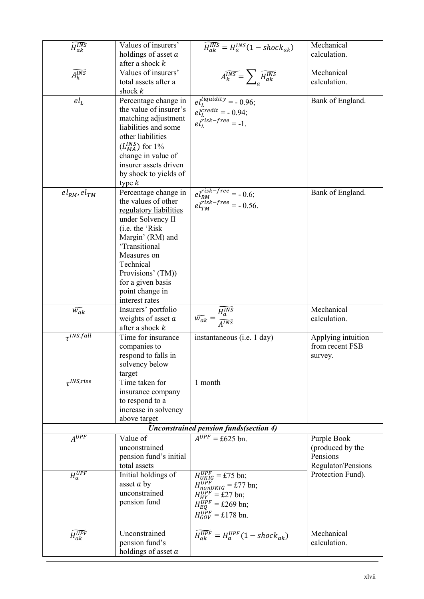|                                       | Values of insurers'                     |                                                                                                              | Mechanical                            |
|---------------------------------------|-----------------------------------------|--------------------------------------------------------------------------------------------------------------|---------------------------------------|
| $\overline{\widetilde{H_{ak}^{INS}}}$ | holdings of asset $a$                   | $\widetilde{H_{ak}^{INS}} = H_{a}^{INS}(1 - shock_{ak})$                                                     | calculation.                          |
|                                       | after a shock $k$                       |                                                                                                              |                                       |
| $\widetilde{A_k^{INS}}$               | Values of insurers'                     |                                                                                                              | Mechanical                            |
|                                       | total assets after a                    | $\widehat{A_k^{INS}} = \sum_{\alpha} \widetilde{H_{ak}^{INS}}$                                               | calculation.                          |
|                                       | shock $k$                               |                                                                                                              |                                       |
| $el_L$                                | Percentage change in                    |                                                                                                              | Bank of England.                      |
|                                       | the value of insurer's                  | $\begin{array}{l} el_L^{liquidity} = -0.96; \\ el_L^{tredit} = -0.94; \\ el_L^{risk-free} = -1. \end{array}$ |                                       |
|                                       | matching adjustment                     |                                                                                                              |                                       |
|                                       | liabilities and some                    |                                                                                                              |                                       |
|                                       | other liabilities                       |                                                                                                              |                                       |
|                                       | $(L_{MA}^{INS})$ for 1%                 |                                                                                                              |                                       |
|                                       | change in value of                      |                                                                                                              |                                       |
|                                       | insurer assets driven                   |                                                                                                              |                                       |
|                                       | by shock to yields of                   |                                                                                                              |                                       |
|                                       | type $k$                                |                                                                                                              |                                       |
| $el_{RM}$ , $el_{TM}$                 | Percentage change in                    | $el_{RM}^{risk-free} = -0.6;$<br>$el_{TM}^{risk-free} = -0.56.$                                              | Bank of England.                      |
|                                       | the values of other                     |                                                                                                              |                                       |
|                                       | regulatory liabilities                  |                                                                                                              |                                       |
|                                       | under Solvency II                       |                                                                                                              |                                       |
|                                       | (i.e. the 'Risk                         |                                                                                                              |                                       |
|                                       | Margin' (RM) and                        |                                                                                                              |                                       |
|                                       | 'Transitional                           |                                                                                                              |                                       |
|                                       | Measures on                             |                                                                                                              |                                       |
|                                       | Technical                               |                                                                                                              |                                       |
|                                       | Provisions' (TM))                       |                                                                                                              |                                       |
|                                       | for a given basis                       |                                                                                                              |                                       |
|                                       | point change in                         |                                                                                                              |                                       |
|                                       | interest rates                          |                                                                                                              |                                       |
| $\widetilde{w_{ak}}$                  | Insurers' portfolio                     | $\widetilde{w_{ak}} = \frac{\widetilde{H^{INS}_a}}{\widetilde{A^{INS}}}$                                     | Mechanical<br>calculation.            |
|                                       | weights of asset $a$                    |                                                                                                              |                                       |
| $\tau^{INS,fall}$                     | after a shock $k$<br>Time for insurance |                                                                                                              |                                       |
|                                       | companies to                            | instantaneous (i.e. 1 day)                                                                                   | Applying intuition<br>from recent FSB |
|                                       | respond to falls in                     |                                                                                                              |                                       |
|                                       | solvency below                          |                                                                                                              | survey.                               |
|                                       | target                                  |                                                                                                              |                                       |
| $\tau^{INS,rise}$                     | Time taken for                          | 1 month                                                                                                      |                                       |
|                                       | insurance company                       |                                                                                                              |                                       |
|                                       | to respond to a                         |                                                                                                              |                                       |
|                                       | increase in solvency                    |                                                                                                              |                                       |
|                                       | above target                            |                                                                                                              |                                       |
|                                       |                                         | <b>Unconstrained pension funds(section 4)</b>                                                                |                                       |
| $\overline{A^{UPF}}$                  | Value of                                | $A^{UPF}$ = £625 bn.                                                                                         | Purple Book                           |
|                                       | unconstrained                           |                                                                                                              | (produced by the                      |
|                                       | pension fund's initial                  |                                                                                                              | Pensions                              |
|                                       | total assets                            |                                                                                                              | Regulator/Pensions                    |
| $H_a^{UPF}$                           | Initial holdings of                     | $H_{UKIG}^{UPF}$ = £75 bn;                                                                                   | Protection Fund).                     |
|                                       | asset $a$ by                            | $H_{nonUKIG}^{UPF} = \pounds 77$ bn;                                                                         |                                       |
|                                       | unconstrained                           | $H_{HY}^{UPF}$ = £27 bn;                                                                                     |                                       |
|                                       | pension fund                            | $H_{EQ}^{UPF}$ = £269 bn;                                                                                    |                                       |
|                                       |                                         | $H_{GOV}^{UPF}$ = £178 bn.                                                                                   |                                       |
|                                       |                                         |                                                                                                              |                                       |
| $\widetilde{H^{UPF}_{ak}}$            | Unconstrained                           | $\widetilde{H_{ak}^{UPF}} = H_a^{UPF}(1 - shock_{ak})$                                                       | Mechanical                            |
|                                       | pension fund's                          |                                                                                                              | calculation.                          |
|                                       | holdings of asset a                     |                                                                                                              |                                       |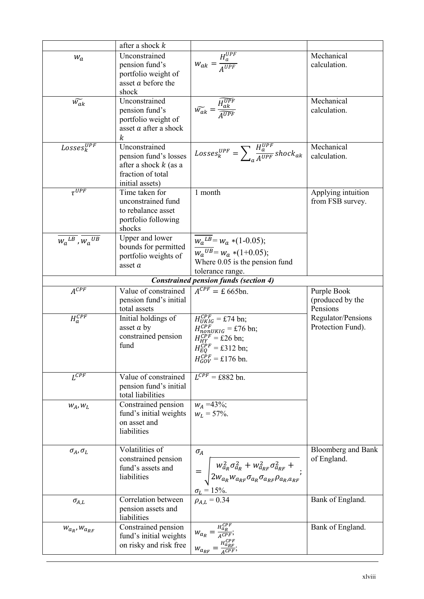|                                               | after a shock $k$                                                                                         |                                                                                                                                                                                                                                    |                                             |
|-----------------------------------------------|-----------------------------------------------------------------------------------------------------------|------------------------------------------------------------------------------------------------------------------------------------------------------------------------------------------------------------------------------------|---------------------------------------------|
| $W_a$                                         | Unconstrained<br>pension fund's<br>portfolio weight of<br>asset a before the<br>shock                     | $W_{ak} = \frac{H_a^{UPF}}{A^{UPF}}$                                                                                                                                                                                               | Mechanical<br>calculation.                  |
| $\widetilde{w_{ak}}$                          | Unconstrained<br>pension fund's<br>portfolio weight of<br>asset $a$ after a shock<br>$\boldsymbol{k}$     | $\widetilde{w_{ak}} = \frac{\widetilde{H_{ak}^{UPF}}}{\widetilde{A^{UPF}}}$                                                                                                                                                        | Mechanical<br>calculation.                  |
| $Losses_k^{\overline{UPF}}$                   | Unconstrained<br>pension fund's losses<br>after a shock $k$ (as a<br>fraction of total<br>initial assets) | $Losses_k^{UPF} = \sum_{a} \frac{H_a^{UPF}}{A^{UPF}} shock_{ak}$                                                                                                                                                                   | Mechanical<br>calculation.                  |
| $\tau^{UPF}$                                  | Time taken for<br>unconstrained fund<br>to rebalance asset<br>portfolio following<br>shocks               | 1 month                                                                                                                                                                                                                            | Applying intuition<br>from FSB survey.      |
| $\overline{W_a^{LB}}$ , $\overline{W_a^{UB}}$ | Upper and lower<br>bounds for permitted<br>portfolio weights of<br>asset a                                | $\overline{W_a^{LB}} = W_a * (1 - 0.05);$<br>$\overline{W_a^{UB}} = W_a * (1+0.05);$<br>Where $0.05$ is the pension fund<br>tolerance range.                                                                                       |                                             |
|                                               |                                                                                                           | <b>Constrained pension funds (section 4)</b>                                                                                                                                                                                       |                                             |
| $A^{CPF}$                                     | Value of constrained<br>pension fund's initial<br>total assets                                            | $A^{CPF} = \pounds 665$ bn.                                                                                                                                                                                                        | Purple Book<br>(produced by the<br>Pensions |
| $H_a^{CPF}$                                   | Initial holdings of<br>asset $a$ by<br>constrained pension<br>fund                                        | $H_{UKIG}^{CPF}$ = £74 bn;<br>$H_{nonUKIG}^{CPF} = \pounds 76$ bn;<br>$H_{HY}^{CPF}$ = £26 bn;<br>$H_{EO}^{CPF} = \pounds 312$ bn;<br>$H_{GOV}^{CPF}$ = £176 bn.                                                                   | Regulator/Pensions<br>Protection Fund).     |
| $\overline{L^{CPF}}$                          | Value of constrained<br>pension fund's initial<br>total liabilities                                       | $\overline{L^{CPF}}$ = £882 bn.                                                                                                                                                                                                    |                                             |
| $W_A, W_L$                                    | Constrained pension<br>fund's initial weights<br>on asset and<br>liabilities                              | $W_A = 43\%;$<br>$W_L = 57\%$ .                                                                                                                                                                                                    |                                             |
| $\sigma_A, \sigma_L$                          | Volatilities of<br>constrained pension<br>fund's assets and<br>liabilities                                | $\sigma_A$<br>=\left\\begin{bmatrix} $w_{a_R}^2 \sigma_{a_R}^2 + w_{a_{RF}}^2 \sigma_{a_{RF}}^2 + \frac{2w_{a_R}w_{a_{RF}} \sigma_{a_{RF}} \sigma_{a_{RF}} \sigma_{a_{RF}} \sigma_{a_{RR}} \sigma_{a_{RR}}$<br>$\sigma_L = 15\%$ . | <b>Bloomberg and Bank</b><br>of England.    |
| $\sigma_{A,L}$                                | Correlation between<br>pension assets and<br>liabilities                                                  | $\rho_{A,L} = 0.34$                                                                                                                                                                                                                | Bank of England.                            |
| $W_{a_R}$ , $W_{a_{RF}}$                      | Constrained pension<br>fund's initial weights<br>on risky and risk free                                   | $w_{a_R} = \frac{H_{a_R}^{CPF}}{A^{CPF}};$<br>$w_{a_{RF}} = \frac{H_{a_{RF}}^{CPF}}{A^{CPF}};$                                                                                                                                     | Bank of England.                            |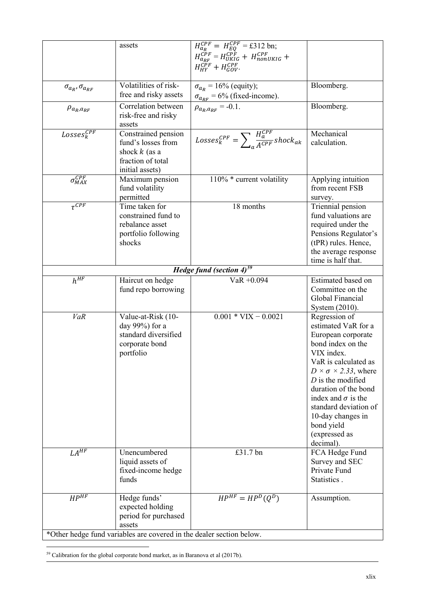|                                 | assets                                                                                                                                     | $H_{a_R}^{CPF} = H_{EQ}^{CPF} = \pounds 312$ bn;<br>$H_{a_{RF}}^{CPF} = H_{UKIG}^{CPF} + H_{nonUKIG}^{CPF} +$<br>$H_{HY}^{C\bar{P}F}+H_{GOV}^{CPF}.$ |                                                                                                                                                                                                                                                                                                                                      |
|---------------------------------|--------------------------------------------------------------------------------------------------------------------------------------------|------------------------------------------------------------------------------------------------------------------------------------------------------|--------------------------------------------------------------------------------------------------------------------------------------------------------------------------------------------------------------------------------------------------------------------------------------------------------------------------------------|
| $\sigma_{a_R}, \sigma_{a_{RF}}$ | Volatilities of risk-<br>free and risky assets                                                                                             | $\sigma_{a_R}$ = 16% (equity);                                                                                                                       | Bloomberg.                                                                                                                                                                                                                                                                                                                           |
| $\rho_{a_R,a_{RF}}$             | Correlation between<br>risk-free and risky<br>assets                                                                                       | $\frac{\sigma_{a_{RF}} = 6\% \text{ (fixed-income)}}{\rho_{a_R, a_{RF}} = -0.1.}$                                                                    | Bloomberg.                                                                                                                                                                                                                                                                                                                           |
| $Losses_k^{CPF}$                | Constrained pension<br>fund's losses from<br>shock $k$ (as a<br>fraction of total<br>initial assets)                                       | $\label{eqn:losses} Losses_k^{CPF} = \sum\nolimits_{\alpha} \frac{H_{a}^{CPF}}{A^{CPF}} shock_{ak}$                                                  | Mechanical<br>calculation.                                                                                                                                                                                                                                                                                                           |
| $\sigma^{CPF}_{MAX}$            | Maximum pension<br>fund volatility<br>permitted                                                                                            | 110% * current volatility                                                                                                                            | Applying intuition<br>from recent FSB<br>survey.                                                                                                                                                                                                                                                                                     |
| $\overline{\tau^{CPF}}$         | Time taken for<br>constrained fund to<br>rebalance asset<br>portfolio following<br>shocks                                                  | 18 months                                                                                                                                            | Triennial pension<br>fund valuations are<br>required under the<br>Pensions Regulator's<br>(tPR) rules. Hence,<br>the average response<br>time is half that.                                                                                                                                                                          |
|                                 |                                                                                                                                            | Hedge fund (section $4$ ) <sup>59</sup>                                                                                                              |                                                                                                                                                                                                                                                                                                                                      |
| $h^{HF}$                        | Haircut on hedge<br>fund repo borrowing                                                                                                    | $VaR + 0.094$                                                                                                                                        | Estimated based on<br>Committee on the<br>Global Financial<br>System (2010).                                                                                                                                                                                                                                                         |
| <b>VaR</b>                      | Value-at-Risk (10-<br>day 99%) for a<br>standard diversified<br>corporate bond<br>portfolio                                                | $0.001 * VIX - 0.0021$                                                                                                                               | Regression of<br>estimated VaR for a<br>European corporate<br>bond index on the<br>VIX index.<br>VaR is calculated as<br>$D \times \sigma \times 2.33$ , where<br>$D$ is the modified<br>duration of the bond<br>index and $\sigma$ is the<br>standard deviation of<br>10-day changes in<br>bond yield<br>(expressed as<br>decimal). |
| $LA^{HF}$                       | Unencumbered<br>liquid assets of<br>fixed-income hedge<br>funds                                                                            | £31.7 bn                                                                                                                                             | FCA Hedge Fund<br>Survey and SEC<br>Private Fund<br>Statistics.                                                                                                                                                                                                                                                                      |
| $HP^{\overline{HF}}$            | Hedge funds'<br>expected holding<br>period for purchased<br>assets<br>*Other hedge fund variables are covered in the dealer section below. | $HP^{HF} = HP^D(Q^D)$                                                                                                                                | Assumption.                                                                                                                                                                                                                                                                                                                          |

<span id="page-49-0"></span><sup>59</sup> Calibration for the global corporate bond market, as in Baranova et al (2017b).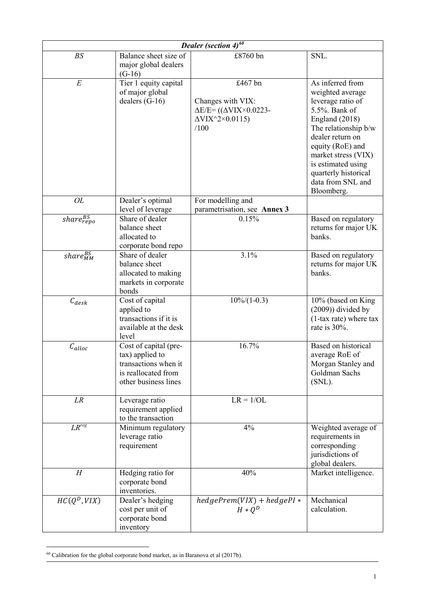|                                | Dealer (section $4)^{60}$                                                                                       |                                                                                                                                                      |                                                                                                                                                                                                                                                                      |  |  |
|--------------------------------|-----------------------------------------------------------------------------------------------------------------|------------------------------------------------------------------------------------------------------------------------------------------------------|----------------------------------------------------------------------------------------------------------------------------------------------------------------------------------------------------------------------------------------------------------------------|--|--|
| BS                             | Balance sheet size of<br>major global dealers<br>$(G-16)$                                                       | £8760 bn                                                                                                                                             | SNL.                                                                                                                                                                                                                                                                 |  |  |
| $\cal E$                       | Tier 1 equity capital<br>of major global<br>dealers $(G-16)$                                                    | £467 bn<br>Changes with VIX:<br>$\Delta E/E = ((\Delta VIX \times 0.0223 -$<br>$\Delta$ VIX <sup><math>\land</math></sup> 2 $\times$ 0.0115)<br>/100 | As inferred from<br>weighted average<br>leverage ratio of<br>5.5%. Bank of<br>England (2018)<br>The relationship b/w<br>dealer return on<br>equity (RoE) and<br>market stress (VIX)<br>is estimated using<br>quarterly historical<br>data from SNL and<br>Bloomberg. |  |  |
| OL                             | Dealer's optimal                                                                                                | For modelling and                                                                                                                                    |                                                                                                                                                                                                                                                                      |  |  |
| $\overline{share^{BS}_{repo}}$ | level of leverage<br>Share of dealer<br>balance sheet<br>allocated to<br>corporate bond repo                    | parametrisation, see Annex 3<br>0.15%                                                                                                                | Based on regulatory<br>returns for major UK<br>banks.                                                                                                                                                                                                                |  |  |
| share <sup>BS</sup>            | Share of dealer<br>balance sheet<br>allocated to making<br>markets in corporate<br>bonds                        | 3.1%                                                                                                                                                 | Based on regulatory<br>returns for major UK<br>banks.                                                                                                                                                                                                                |  |  |
| $C_{desk}$                     | Cost of capital<br>applied to<br>transactions if it is<br>available at the desk<br>level                        | $10\%/1-0.3)$                                                                                                                                        | 10% (based on King<br>$(2009)$ ) divided by<br>$(1$ -tax rate) where tax<br>rate is 30%.                                                                                                                                                                             |  |  |
| $C_{alloc}$                    | Cost of capital (pre-<br>tax) applied to<br>transactions when it<br>is reallocated from<br>other business lines | 16.7%                                                                                                                                                | <b>Based on historical</b><br>average RoE of<br>Morgan Stanley and<br>Goldman Sachs<br>$(SNL)$ .                                                                                                                                                                     |  |  |
| ${\cal L}{\cal R}$             | Leverage ratio<br>requirement applied<br>to the transaction                                                     | $LR = 1/OL$                                                                                                                                          |                                                                                                                                                                                                                                                                      |  |  |
| $LR$ <sup>reg</sup>            | Minimum regulatory<br>leverage ratio<br>requirement                                                             | 4%                                                                                                                                                   | Weighted average of<br>requirements in<br>corresponding<br>jurisdictions of<br>global dealers.                                                                                                                                                                       |  |  |
| H                              | Hedging ratio for<br>corporate bond<br>inventories.                                                             | 40%                                                                                                                                                  | Market intelligence.                                                                                                                                                                                                                                                 |  |  |
| $HC(Q^D, VIX)$                 | Dealer's hedging<br>cost per unit of<br>corporate bond<br>inventory                                             | $hedge Prem(VIX) + hedgePI*$<br>$H * Q^D$                                                                                                            | Mechanical<br>calculation.                                                                                                                                                                                                                                           |  |  |

<span id="page-50-0"></span> $60$  Calibration for the global corporate bond market, as in Baranova et al (2017b).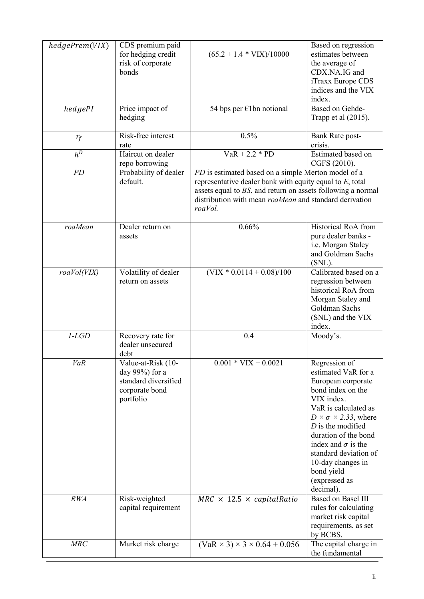| hedgePrem(VIX) | CDS premium paid                        |                                                                                                                       | Based on regression                                          |
|----------------|-----------------------------------------|-----------------------------------------------------------------------------------------------------------------------|--------------------------------------------------------------|
|                | for hedging credit<br>risk of corporate | $(65.2 + 1.4 * VIX)/10000$                                                                                            | estimates between<br>the average of                          |
|                | bonds                                   |                                                                                                                       | CDX.NA.IG and                                                |
|                |                                         |                                                                                                                       | iTraxx Europe CDS                                            |
|                |                                         |                                                                                                                       | indices and the VIX                                          |
|                |                                         |                                                                                                                       | index.                                                       |
| hedgePI        | Price impact of<br>hedging              | 54 bps per €1bn notional                                                                                              | Based on Gehde-<br>Trapp et al $(2015)$ .                    |
|                |                                         |                                                                                                                       |                                                              |
| $r_f$          | Risk-free interest<br>rate              | 0.5%                                                                                                                  | Bank Rate post-<br>crisis.                                   |
| $h^D$          | Haircut on dealer                       | $VaR + 2.2 * PD$                                                                                                      | Estimated based on                                           |
|                | repo borrowing                          |                                                                                                                       | CGFS (2010).                                                 |
| PD             | Probability of dealer                   | PD is estimated based on a simple Merton model of a                                                                   |                                                              |
|                | default.                                | representative dealer bank with equity equal to $E$ , total                                                           |                                                              |
|                |                                         | assets equal to BS, and return on assets following a normal<br>distribution with mean roaMean and standard derivation |                                                              |
|                |                                         | roaVol.                                                                                                               |                                                              |
|                |                                         |                                                                                                                       |                                                              |
| roaMean        | Dealer return on<br>assets              | 0.66%                                                                                                                 | Historical RoA from<br>pure dealer banks -                   |
|                |                                         |                                                                                                                       | i.e. Morgan Staley                                           |
|                |                                         |                                                                                                                       | and Goldman Sachs                                            |
|                |                                         |                                                                                                                       | $(SNL)$ .                                                    |
| roaVol(VIX)    | Volatility of dealer                    | $(VIX * 0.011\overline{4 + 0.08)/100}$                                                                                | Calibrated based on a                                        |
|                | return on assets                        |                                                                                                                       | regression between                                           |
|                |                                         |                                                                                                                       | historical RoA from<br>Morgan Staley and                     |
|                |                                         |                                                                                                                       | Goldman Sachs                                                |
|                |                                         |                                                                                                                       | (SNL) and the VIX                                            |
|                |                                         |                                                                                                                       | index.                                                       |
| $1-LGD$        | Recovery rate for                       | 0.4                                                                                                                   | Moody's.                                                     |
|                | dealer unsecured<br>debt                |                                                                                                                       |                                                              |
| <b>VaR</b>     | Value-at-Risk (10-                      | $0.001 * VIX - 0.0021$                                                                                                | Regression of                                                |
|                | day 99%) for a                          |                                                                                                                       | estimated VaR for a                                          |
|                | standard diversified                    |                                                                                                                       | European corporate                                           |
|                | corporate bond                          |                                                                                                                       | bond index on the                                            |
|                | portfolio                               |                                                                                                                       | VIX index.                                                   |
|                |                                         |                                                                                                                       | VaR is calculated as                                         |
|                |                                         |                                                                                                                       | $D \times \sigma \times 2.33$ , where<br>$D$ is the modified |
|                |                                         |                                                                                                                       | duration of the bond                                         |
|                |                                         |                                                                                                                       | index and $\sigma$ is the                                    |
|                |                                         |                                                                                                                       | standard deviation of                                        |
|                |                                         |                                                                                                                       | 10-day changes in                                            |
|                |                                         |                                                                                                                       | bond yield                                                   |
|                |                                         |                                                                                                                       | (expressed as<br>decimal).                                   |
| RWA            | Risk-weighted                           | $MRC \times 12.5 \times capitalRatio$                                                                                 | Based on Basel III                                           |
|                | capital requirement                     |                                                                                                                       | rules for calculating                                        |
|                |                                         |                                                                                                                       | market risk capital                                          |
|                |                                         |                                                                                                                       | requirements, as set<br>by BCBS.                             |
| MRC            | Market risk charge                      | $(VaR \times 3) \times 3 \times 0.64 + 0.056$                                                                         | The capital charge in                                        |
|                |                                         |                                                                                                                       | the fundamental                                              |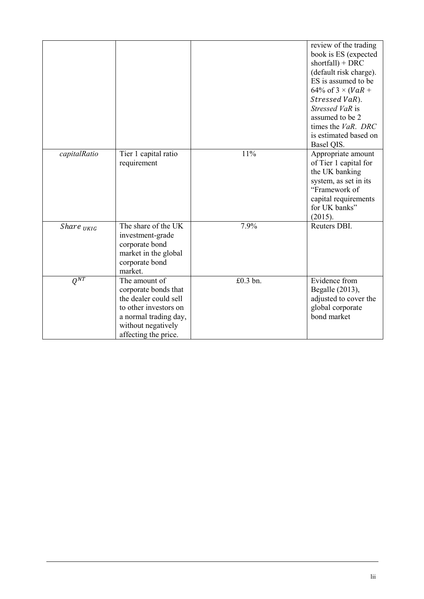|                     |                                                                                                                                                                |          | review of the trading<br>book is ES (expected<br>$shortfall) + DRC$<br>(default risk charge).<br>ES is assumed to be<br>64% of $3 \times (VaR +$<br>Stressed VaR).<br>Stressed VaR is<br>assumed to be 2<br>times the <i>VaR</i> . DRC<br>is estimated based on<br>Basel QIS. |
|---------------------|----------------------------------------------------------------------------------------------------------------------------------------------------------------|----------|-------------------------------------------------------------------------------------------------------------------------------------------------------------------------------------------------------------------------------------------------------------------------------|
| capitalRatio        | Tier 1 capital ratio<br>requirement                                                                                                                            | 11%      | Appropriate amount<br>of Tier 1 capital for<br>the UK banking<br>system, as set in its<br>"Framework of<br>capital requirements<br>for UK banks"<br>(2015).                                                                                                                   |
| Share $_{UKIG}$     | The share of the UK<br>investment-grade<br>corporate bond<br>market in the global<br>corporate bond<br>market.                                                 | 7.9%     | Reuters DBI.                                                                                                                                                                                                                                                                  |
| $Q^{\overline{NT}}$ | The amount of<br>corporate bonds that<br>the dealer could sell<br>to other investors on<br>a normal trading day,<br>without negatively<br>affecting the price. | £0.3 bn. | Evidence from<br>Begalle (2013),<br>adjusted to cover the<br>global corporate<br>bond market                                                                                                                                                                                  |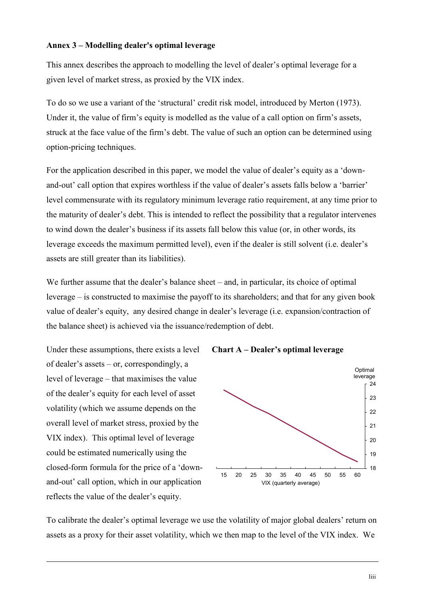# **Annex 3 – Modelling dealer's optimal leverage**

This annex describes the approach to modelling the level of dealer's optimal leverage for a given level of market stress, as proxied by the VIX index.

To do so we use a variant of the 'structural' credit risk model, introduced by Merton (1973). Under it, the value of firm's equity is modelled as the value of a call option on firm's assets, struck at the face value of the firm's debt. The value of such an option can be determined using option-pricing techniques.

For the application described in this paper, we model the value of dealer's equity as a 'downand-out' call option that expires worthless if the value of dealer's assets falls below a 'barrier' level commensurate with its regulatory minimum leverage ratio requirement, at any time prior to the maturity of dealer's debt. This is intended to reflect the possibility that a regulator intervenes to wind down the dealer's business if its assets fall below this value (or, in other words, its leverage exceeds the maximum permitted level), even if the dealer is still solvent (i.e. dealer's assets are still greater than its liabilities).

We further assume that the dealer's balance sheet – and, in particular, its choice of optimal leverage – is constructed to maximise the payoff to its shareholders; and that for any given book value of dealer's equity, any desired change in dealer's leverage (i.e. expansion/contraction of the balance sheet) is achieved via the issuance/redemption of debt.

Under these assumptions, there exists a level of dealer's assets – or, correspondingly, a level of leverage – that maximises the value of the dealer's equity for each level of asset volatility (which we assume depends on the overall level of market stress, proxied by the VIX index). This optimal level of leverage could be estimated numerically using the closed-form formula for the price of a 'downand-out' call option, which in our application reflects the value of the dealer's equity.

**Chart A – Dealer's optimal leverage**



To calibrate the dealer's optimal leverage we use the volatility of major global dealers' return on assets as a proxy for their asset volatility, which we then map to the level of the VIX index. We